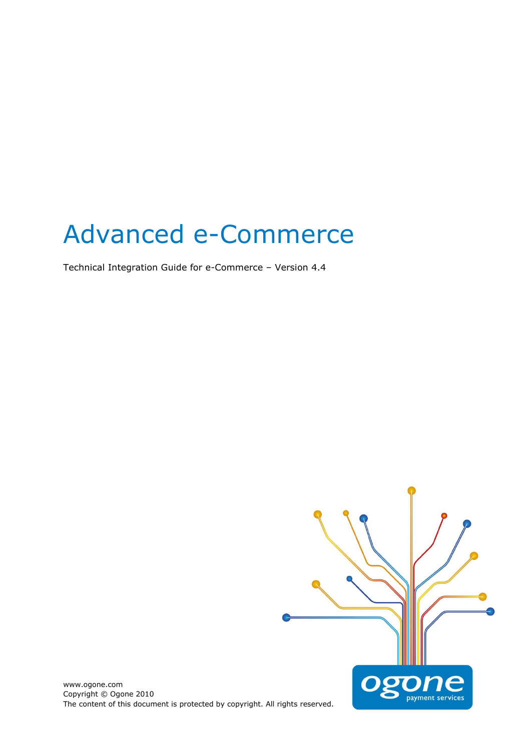# Advanced e-Commerce

Technical Integration Guide for e-Commerce - Version 4.4



www.ogone.com Copyright © Ogone 2010 The content of this document is protected by copyright. All rights reserved.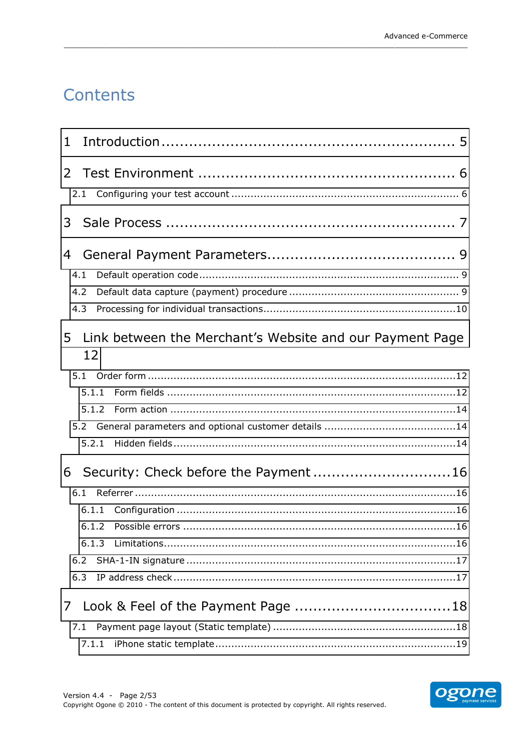## Contents

| 1              |                                                                              |  |
|----------------|------------------------------------------------------------------------------|--|
|                |                                                                              |  |
| 3              |                                                                              |  |
| 4              | 4.1<br>4.2<br>4.3                                                            |  |
| 5              | Link between the Merchant's Website and our Payment Page<br>12               |  |
|                | 5.1.1<br>5.1.2<br>5.2.1                                                      |  |
| 6              | Security: Check before the Payment 16<br>6.1<br>6.1.1<br>6.1.3<br>6.2<br>6.3 |  |
| 7 <sup>1</sup> | 7.1<br>7.1.1                                                                 |  |

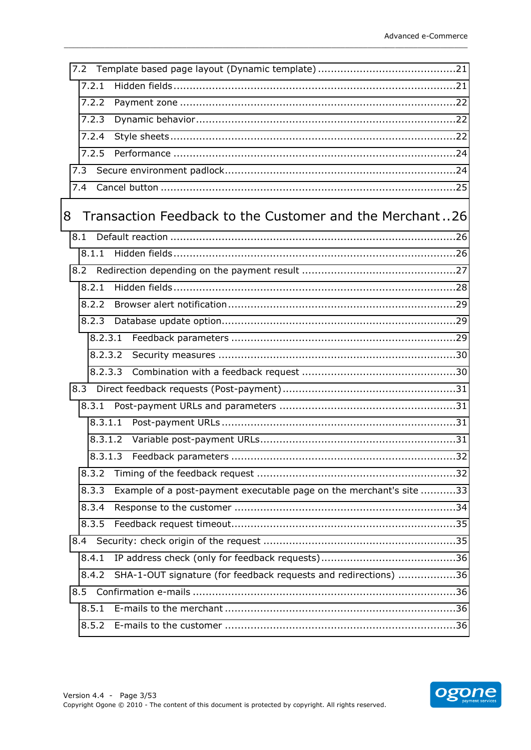| 7.2.1   |                                                                     |
|---------|---------------------------------------------------------------------|
| 7.2.2   |                                                                     |
| 7.2.3   |                                                                     |
| 7.2.4   |                                                                     |
| 7.2.5   |                                                                     |
| 7.3     |                                                                     |
| 7.4     |                                                                     |
|         |                                                                     |
| 8       | Transaction Feedback to the Customer and the Merchant26             |
| 8.1     |                                                                     |
| 8.1.1   |                                                                     |
| 8.2     |                                                                     |
| 8.2.1   |                                                                     |
| 8.2.2   |                                                                     |
| 8.2.3   |                                                                     |
| 8.2.3.1 |                                                                     |
| 8.2.3.2 |                                                                     |
|         |                                                                     |
| 8.3     |                                                                     |
| 8.3.1   |                                                                     |
| 8.3.1.1 |                                                                     |
| 8.3.1.2 |                                                                     |
|         | .32                                                                 |
| 8.3.2   |                                                                     |
| 8.3.3   | Example of a post-payment executable page on the merchant's site 33 |
| 8.3.4   |                                                                     |
| 8.3.5   |                                                                     |
|         |                                                                     |
| 8.4.1   |                                                                     |
| 8.4.2   | SHA-1-OUT signature (for feedback requests and redirections) 36     |
| 8.5     |                                                                     |
| 8.5.1   |                                                                     |
| 8.5.2   |                                                                     |

\_\_\_\_\_\_\_\_\_\_\_\_\_\_\_\_\_\_\_\_\_\_\_\_\_\_\_\_\_\_\_\_\_\_\_\_\_\_\_\_\_\_\_\_\_\_\_\_\_\_\_\_\_\_\_\_\_\_\_\_\_\_\_\_\_\_\_\_\_\_\_\_\_\_\_\_\_\_\_\_\_\_\_\_\_\_\_\_\_

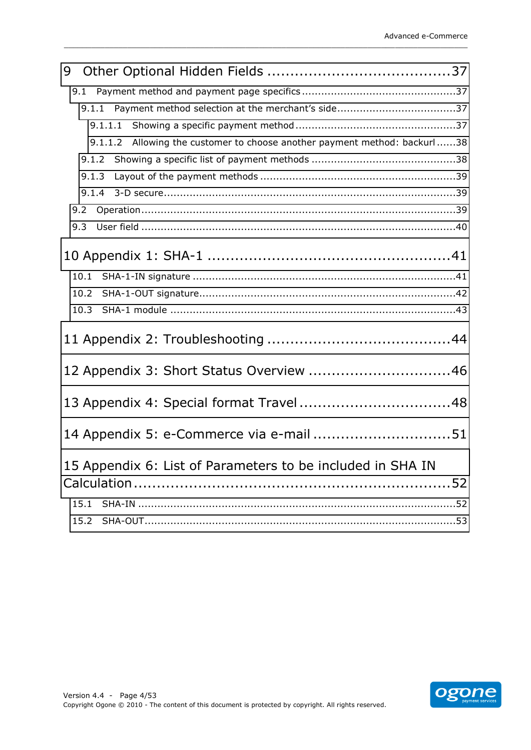| 9 |                                                                              |  |
|---|------------------------------------------------------------------------------|--|
|   |                                                                              |  |
|   |                                                                              |  |
|   | 9.1.1.1                                                                      |  |
|   | Allowing the customer to choose another payment method: backurl38<br>9.1.1.2 |  |
|   |                                                                              |  |
|   | 9.1.3                                                                        |  |
|   |                                                                              |  |
|   | 9.2                                                                          |  |
|   | 9.3                                                                          |  |
|   |                                                                              |  |
|   | 10.1                                                                         |  |
|   | 10.2                                                                         |  |
|   | 10.3                                                                         |  |
|   |                                                                              |  |
|   | 12 Appendix 3: Short Status Overview 46                                      |  |
|   | 13 Appendix 4: Special format Travel 48                                      |  |
|   | 14 Appendix 5: e-Commerce via e-mail 51                                      |  |
|   | 15 Appendix 6: List of Parameters to be included in SHA IN                   |  |
|   |                                                                              |  |
|   | 15.1                                                                         |  |
|   |                                                                              |  |
|   |                                                                              |  |

\_\_\_\_\_\_\_\_\_\_\_\_\_\_\_\_\_\_\_\_\_\_\_\_\_\_\_\_\_\_\_\_\_\_\_\_\_\_\_\_\_\_\_\_\_\_\_\_\_\_\_\_\_\_\_\_\_\_\_\_\_\_\_\_\_\_\_\_\_\_\_\_\_\_\_\_\_\_\_\_\_\_\_\_\_\_\_\_\_

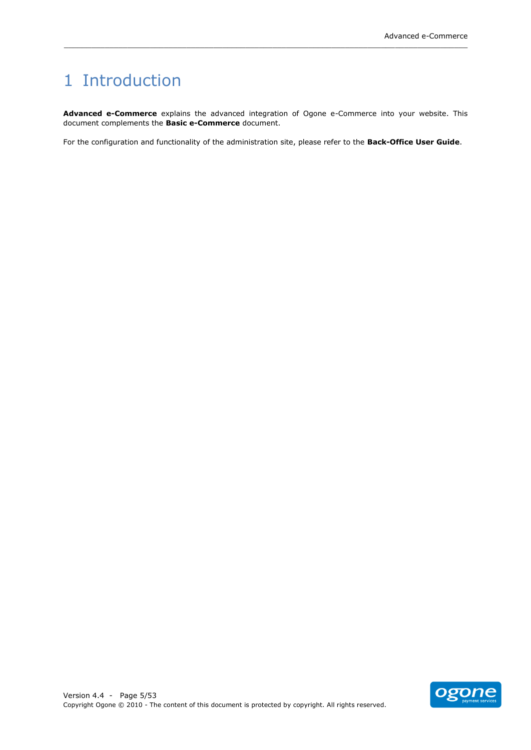## <span id="page-4-0"></span>1 Introduction

Advanced e-Commerce explains the advanced integration of Ogone e-Commerce into your website. This document complements the **Basic e-Commerce** document.

\_\_\_\_\_\_\_\_\_\_\_\_\_\_\_\_\_\_\_\_\_\_\_\_\_\_\_\_\_\_\_\_\_\_\_\_\_\_\_\_\_\_\_\_\_\_\_\_\_\_\_\_\_\_\_\_\_\_\_\_\_\_\_\_\_\_\_\_\_\_\_\_\_\_\_\_\_\_\_\_\_\_\_\_\_\_\_\_\_

For the configuration and functionality of the administration site, please refer to the Back-Office User Guide.

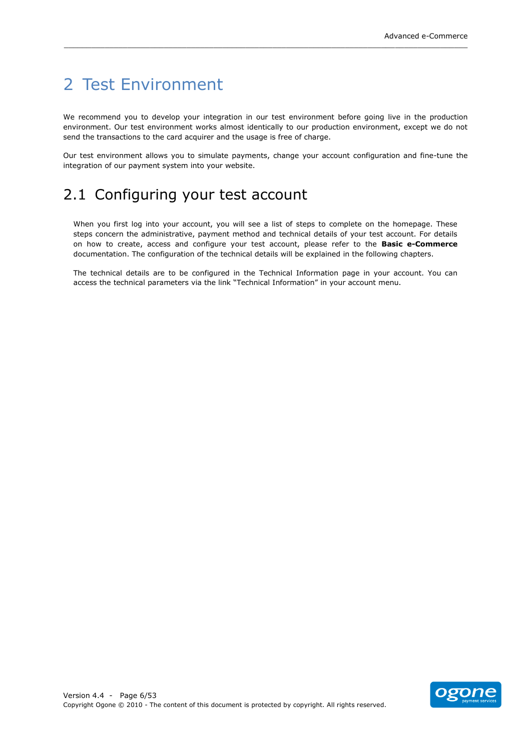## <span id="page-5-0"></span>2 Test Environment

We recommend you to develop your integration in our test environment before going live in the production environment. Our test environment works almost identically to our production environment, except we do not send the transactions to the card acquirer and the usage is free of charge.

\_\_\_\_\_\_\_\_\_\_\_\_\_\_\_\_\_\_\_\_\_\_\_\_\_\_\_\_\_\_\_\_\_\_\_\_\_\_\_\_\_\_\_\_\_\_\_\_\_\_\_\_\_\_\_\_\_\_\_\_\_\_\_\_\_\_\_\_\_\_\_\_\_\_\_\_\_\_\_\_\_\_\_\_\_\_\_\_\_

Our test environment allows you to simulate payments, change your account configuration and fine-tune the integration of our payment system into your website.

## <span id="page-5-1"></span>2.1 Configuring your test account

When you first log into your account, you will see a list of steps to complete on the homepage. These steps concern the administrative, payment method and technical details of your test account. For details on how to create, access and configure your test account, please refer to the **Basic e-Commerce** documentation. The configuration of the technical details will be explained in the following chapters.

The technical details are to be configured in the Technical Information page in your account. You can access the technical parameters via the link "Technical Information" in your account menu.

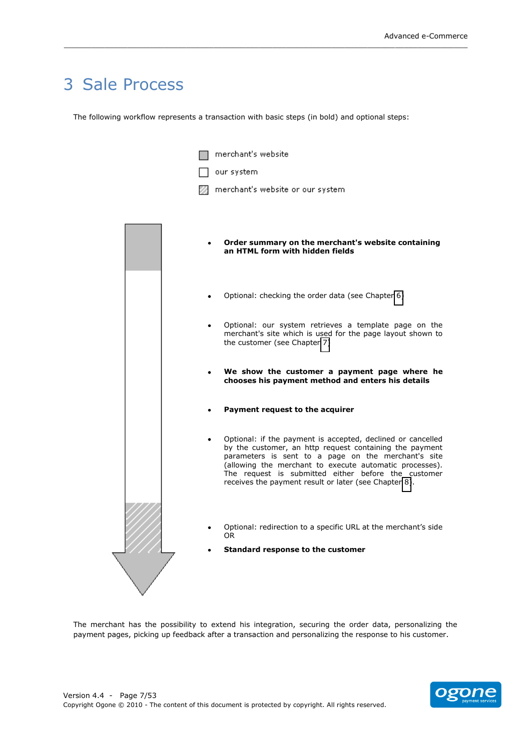## <span id="page-6-0"></span>3 Sale Process

The following workflow represents a transaction with basic steps (in bold) and optional steps:

\_\_\_\_\_\_\_\_\_\_\_\_\_\_\_\_\_\_\_\_\_\_\_\_\_\_\_\_\_\_\_\_\_\_\_\_\_\_\_\_\_\_\_\_\_\_\_\_\_\_\_\_\_\_\_\_\_\_\_\_\_\_\_\_\_\_\_\_\_\_\_\_\_\_\_\_\_\_\_\_\_\_\_\_\_\_\_\_\_

| merchant's website                                                                                                                                                                                                                                                                                                                                       |  |
|----------------------------------------------------------------------------------------------------------------------------------------------------------------------------------------------------------------------------------------------------------------------------------------------------------------------------------------------------------|--|
| our system                                                                                                                                                                                                                                                                                                                                               |  |
| merchant's website or our system                                                                                                                                                                                                                                                                                                                         |  |
|                                                                                                                                                                                                                                                                                                                                                          |  |
|                                                                                                                                                                                                                                                                                                                                                          |  |
| Order summary on the merchant's website containing<br>an HTML form with hidden fields                                                                                                                                                                                                                                                                    |  |
| Optional: checking the order data (see Chapter 6)                                                                                                                                                                                                                                                                                                        |  |
| Optional: our system retrieves a template page on the<br>merchant's site which is used for the page layout shown to<br>the customer (see Chapter 7)                                                                                                                                                                                                      |  |
| We show the customer a payment page where he<br>chooses his payment method and enters his details                                                                                                                                                                                                                                                        |  |
| Payment request to the acquirer                                                                                                                                                                                                                                                                                                                          |  |
| Optional: if the payment is accepted, declined or cancelled<br>by the customer, an http request containing the payment<br>parameters is sent to a page on the merchant's site<br>(allowing the merchant to execute automatic processes).<br>The request is submitted either before the customer<br>receives the payment result or later (see Chapter 8). |  |
| Optional: redirection to a specific URL at the merchant's side<br>OR.                                                                                                                                                                                                                                                                                    |  |
| Standard response to the customer                                                                                                                                                                                                                                                                                                                        |  |
|                                                                                                                                                                                                                                                                                                                                                          |  |

The merchant has the possibility to extend his integration, securing the order data, personalizing the payment pages, picking up feedback after a transaction and personalizing the response to his customer.

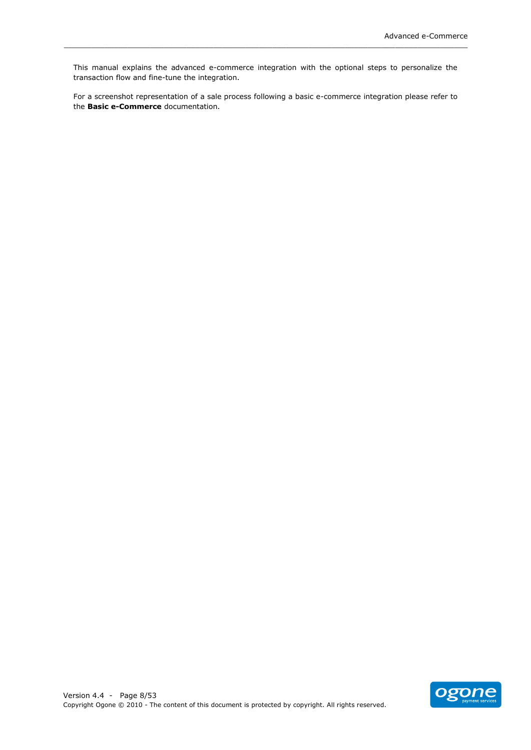This manual explains the advanced e-commerce integration with the optional steps to personalize the transaction flow and fine-tune the integration.

\_\_\_\_\_\_\_\_\_\_\_\_\_\_\_\_\_\_\_\_\_\_\_\_\_\_\_\_\_\_\_\_\_\_\_\_\_\_\_\_\_\_\_\_\_\_\_\_\_\_\_\_\_\_\_\_\_\_\_\_\_\_\_\_\_\_\_\_\_\_\_\_\_\_\_\_\_\_\_\_\_\_\_\_\_\_\_\_\_

For a screenshot representation of a sale process following a basic e-commerce integration please refer to the **Basic e-Commerce** documentation.

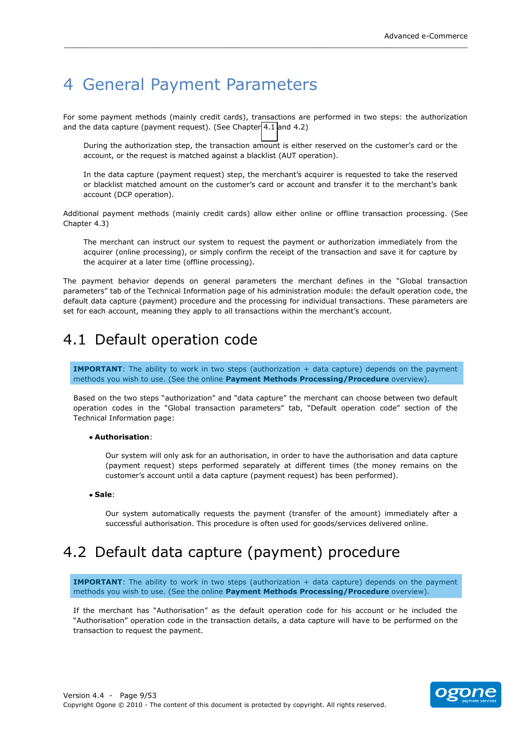## <span id="page-8-0"></span>4 General Payment Parameters

For some payment methods (mainly credit cards), transactions are performed in two steps: the authorization and the data capture (payment request). (See Chapter 4.1 and 4.2)

\_\_\_\_\_\_\_\_\_\_\_\_\_\_\_\_\_\_\_\_\_\_\_\_\_\_\_\_\_\_\_\_\_\_\_\_\_\_\_\_\_\_\_\_\_\_\_\_\_\_\_\_\_\_\_\_\_\_\_\_\_\_\_\_\_\_\_\_\_\_\_\_\_\_\_\_\_\_\_\_\_\_\_\_\_\_\_\_\_

During the authorization step, the transaction amount is either reserved on the customer's card or the account, or the request is matched against a blacklist (AUT operation).

In the data capture (payment request) step, the merchant's acquirer is requested to take the reserved or blacklist matched amount on the customer's card or account and transfer it to the merchant's bank account (DCP operation).

Additional payment methods (mainly credit cards) allow either online or offline transaction processing. (See Chapter 4.3)

The merchant can instruct our system to request the payment or authorization immediately from the acquirer (online processing), or simply confirm the receipt of the transaction and save it for capture by the acquirer at a later time (offline processing).

The payment behavior depends on general parameters the merchant defines in the "Global transaction parameters" tab of the Technical Information page of his administration module: the default operation code, the default data capture (payment) procedure and the processing for individual transactions. These parameters are set for each account, meaning they apply to all transactions within the merchant's account.

## <span id="page-8-1"></span>4.1 Default operation code

**IMPORTANT**: The ability to work in two steps (authorization + data capture) depends on the payment methods you wish to use. (See the online Payment Methods Processing/Procedure overview).

Based on the two steps "authorization" and "data capture" the merchant can choose between two default operation codes in the "Global transaction parameters" tab, "Default operation code" section of the Technical Information page:

#### **Authorisation**:!

Our system will only ask for an authorisation, in order to have the authorisation and data capture (payment request) steps performed separately at different times (the money remains on the customer's account until a data capture (payment request) has been performed).

**Sale**:!

<span id="page-8-2"></span>Our system automatically requests the payment (transfer of the amount) immediately after a successful authorisation. This procedure is often used for goods/services delivered online.

## 4.2 Default data capture (payment) procedure

**IMPORTANT**: The ability to work in two steps (authorization + data capture) depends on the payment methods you wish to use. (See the online **Payment Methods Processing/Procedure** overview).

If the merchant has "Authorisation" as the default operation code for his account or he included the "Authorisation" operation code in the transaction details, a data capture will have to be performed on the transaction to request the payment.

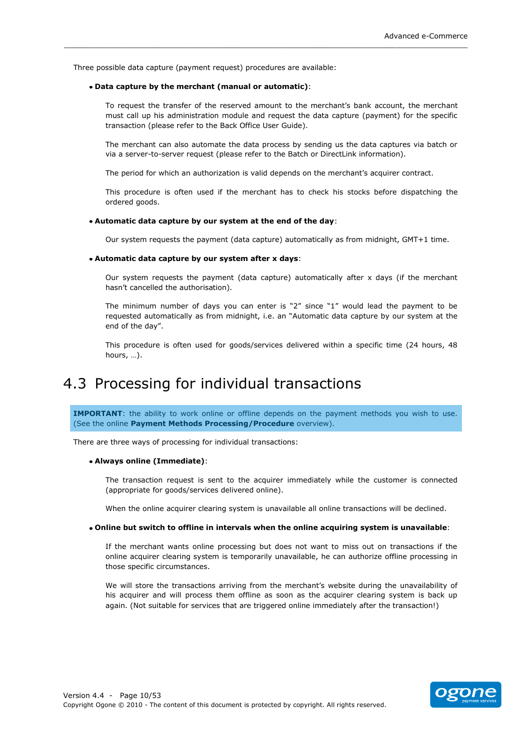Three possible data capture (payment request) procedures are available:

#### • Data capture by the merchant (manual or automatic):

To request the transfer of the reserved amount to the merchant's bank account, the merchant must call up his administration module and request the data capture (payment) for the specific transaction (please refer to the Back Office User Guide).

The merchant can also automate the data process by sending us the data captures via batch or via a server-to-server request (please refer to the Batch or DirectLink information).

The period for which an authorization is valid depends on the merchant's acquirer contract.

\_\_\_\_\_\_\_\_\_\_\_\_\_\_\_\_\_\_\_\_\_\_\_\_\_\_\_\_\_\_\_\_\_\_\_\_\_\_\_\_\_\_\_\_\_\_\_\_\_\_\_\_\_\_\_\_\_\_\_\_\_\_\_\_\_\_\_\_\_\_\_\_\_\_\_\_\_\_\_\_\_\_\_\_\_\_\_\_\_

This procedure is often used if the merchant has to check his stocks before dispatching the ordered goods.

#### $\bullet$  Automatic data capture by our system at the end of the day:

Our system requests the payment (data capture) automatically as from midnight, GMT+1 time.

#### • Automatic data capture by our system after x days:

Our system requests the payment (data capture) automatically after x days (if the merchant hasn't cancelled the authorisation).

The minimum number of days you can enter is "2" since "1" would lead the payment to be requested automatically as from midnight, i.e. an "Automatic data capture by our system at the end of the day".

<span id="page-9-0"></span>This procedure is often used for goods/services delivered within a specific time (24 hours, 48 hours,  $\dots$ ).

### 4.3 Processing for individual transactions

**IMPORTANT**: the ability to work online or offline depends on the payment methods you wish to use. (See the online **Payment Methods Processing/Procedure** overview).

There are three ways of processing for individual transactions:

#### **Always(online((Immediate)**:!

The transaction request is sent to the acquirer immediately while the customer is connected (appropriate for goods/services delivered online).

When the online acquirer clearing system is unavailable all online transactions will be declined.

#### **• Online but switch to offline in intervals when the online acquiring system is unavailable:**

If the merchant wants online processing but does not want to miss out on transactions if the online acquirer clearing system is temporarily unavailable, he can authorize offline processing in those specific circumstances.

We will store the transactions arriving from the merchant's website during the unavailability of his acquirer and will process them offline as soon as the acquirer clearing system is back up again. (Not suitable for services that are triggered online immediately after the transaction!)

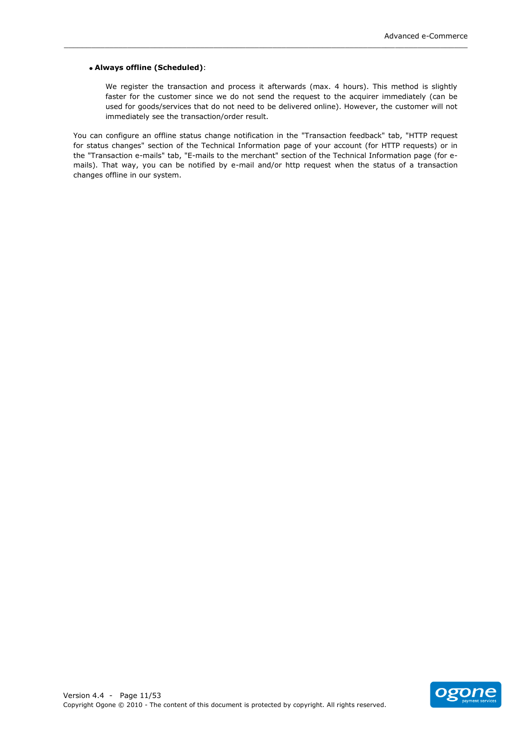#### • Always offline (Scheduled):

We register the transaction and process it afterwards (max. 4 hours). This method is slightly faster for the customer since we do not send the request to the acquirer immediately (can be used for goods/services that do not need to be delivered online). However, the customer will not immediately see the transaction/order result.

You can configure an offline status change notification in the "Transaction feedback" tab, "HTTP request for status changes" section of the Technical Information page of your account (for HTTP requests) or in the "Transaction e-mails" tab, "E-mails to the merchant" section of the Technical Information page (for emails). That way, you can be notified by e-mail and/or http request when the status of a transaction changes offline in our system.

\_\_\_\_\_\_\_\_\_\_\_\_\_\_\_\_\_\_\_\_\_\_\_\_\_\_\_\_\_\_\_\_\_\_\_\_\_\_\_\_\_\_\_\_\_\_\_\_\_\_\_\_\_\_\_\_\_\_\_\_\_\_\_\_\_\_\_\_\_\_\_\_\_\_\_\_\_\_\_\_\_\_\_\_\_\_\_\_\_

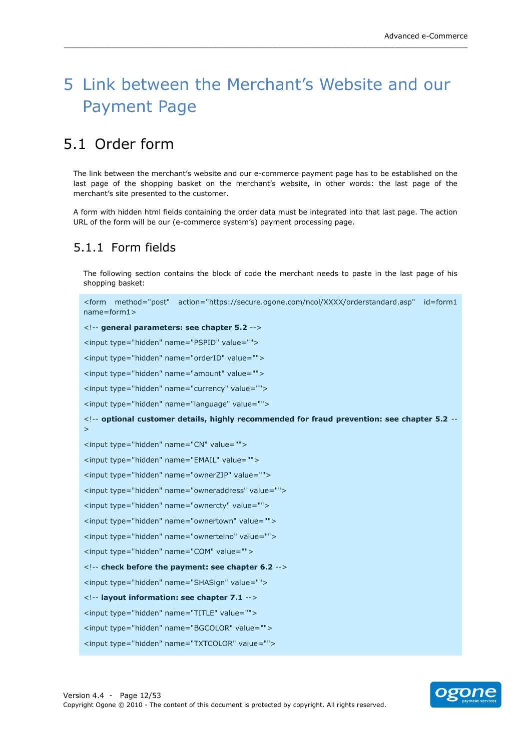## <span id="page-11-0"></span>5 Link between the Merchant's Website and our Payment Page

\_\_\_\_\_\_\_\_\_\_\_\_\_\_\_\_\_\_\_\_\_\_\_\_\_\_\_\_\_\_\_\_\_\_\_\_\_\_\_\_\_\_\_\_\_\_\_\_\_\_\_\_\_\_\_\_\_\_\_\_\_\_\_\_\_\_\_\_\_\_\_\_\_\_\_\_\_\_\_\_\_\_\_\_\_\_\_\_\_

## <span id="page-11-1"></span>5.1 Order form

The link between the merchant's website and our e-commerce payment page has to be established on the last page of the shopping basket on the merchant's website, in other words: the last page of the merchant's site presented to the customer.

A form with hidden html fields containing the order data must be integrated into that last page. The action URL of the form will be our (e-commerce system's) payment processing page.

### <span id="page-11-2"></span>5.1.1 Form fields

The following section contains the block of code the merchant needs to paste in the last page of his shopping basket:

```
<form method="post" action="https://secure.ogone.com/ncol/XXXX/orderstandard.asp" id=form1
name=form1>
<!-- general parameters: see chapter 5.2 -->
<input type="hidden" name="PSPID" value="">
<input type="hidden" name="orderID" value="">
<input type="hidden" name="amount" value="">
<input type="hidden" name="currency" value="">
<input type="hidden" name="language" value="">
<!-- optional customer details, highly recommended for fraud prevention: see chapter 5.2 --
>
<input type="hidden" name="CN" value="">
<input type="hidden" name="EMAIL" value="">
<input type="hidden" name="ownerZIP" value="">
<input type="hidden" name="owneraddress" value="">
<input type="hidden" name="ownercty" value="">
<input type="hidden" name="ownertown" value="">
<input type="hidden" name="ownertelno" value="">
<input type="hidden" name="COM" value="">
<!-- check before the payment: see chapter 6.2 -->
<input type="hidden" name="SHASign" value="">
<!-- layout information: see chapter 7.1 -->
<input type="hidden" name="TITLE" value="">
<input type="hidden" name="BGCOLOR" value="">
<input type="hidden" name="TXTCOLOR" value="">
```
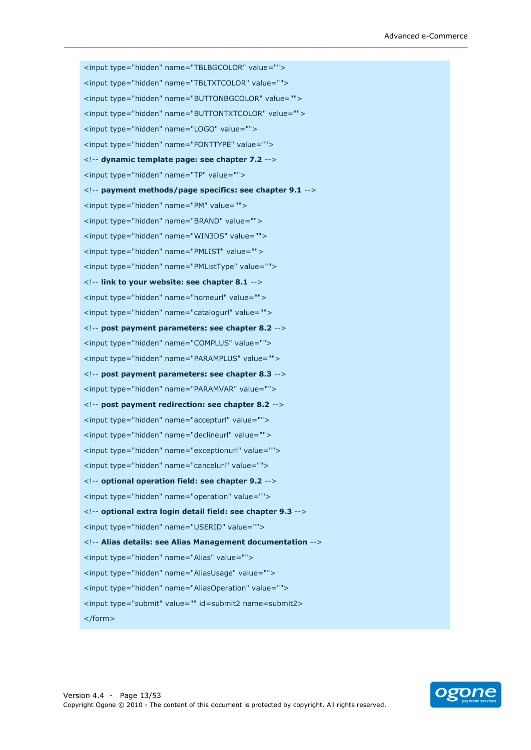<input type="hidden" name="TBLBGCOLOR" value=""> <input type="hidden" name="TBLTXTCOLOR" value=""> <input type="hidden" name="BUTTONBGCOLOR" value=""> <input type="hidden" name="BUTTONTXTCOLOR" value=""> <input type="hidden" name="LOGO" value=""> <input type="hidden" name="FONTTYPE" value=""> <!-- dynamic template page: see chapter 7.2 --> <input type="hidden" name="TP" value=""> <!-- payment methods/page specifics: see chapter 9.1 --> <input type="hidden" name="PM" value=""> <input type="hidden" name="BRAND" value=""> <input type="hidden" name="WIN3DS" value=""> <input type="hidden" name="PMLIST" value=""> <input type="hidden" name="PMListType" value=""> <!-- link to your website: see chapter 8.1 --> <input type="hidden" name="homeurl" value=""> <input type="hidden" name="catalogurl" value=""> <!-- post payment parameters: see chapter 8.2 --> <input type="hidden" name="COMPLUS" value=""> <input type="hidden" name="PARAMPLUS" value=""> <!-- post payment parameters: see chapter 8.3 --> <input type="hidden" name="PARAMVAR" value=""> <!-- post payment redirection: see chapter 8.2 --> <input type="hidden" name="accepturl" value=""> <input type="hidden" name="declineurl" value=""> <input type="hidden" name="exceptionurl" value=""> <input type="hidden" name="cancelurl" value=""> <!-- optional operation field: see chapter 9.2 --> <input type="hidden" name="operation" value=""> <!-- optional extra login detail field: see chapter 9.3 --> <input type="hidden" name="USERID" value=""> <!-- Alias details: see Alias Management documentation --> <input type="hidden" name="Alias" value=""> <input type="hidden" name="AliasUsage" value=""> <input type="hidden" name="AliasOperation" value=""> <input type="submit" value="" id=submit2 name=submit2> </form>

\_\_\_\_\_\_\_\_\_\_\_\_\_\_\_\_\_\_\_\_\_\_\_\_\_\_\_\_\_\_\_\_\_\_\_\_\_\_\_\_\_\_\_\_\_\_\_\_\_\_\_\_\_\_\_\_\_\_\_\_\_\_\_\_\_\_\_\_\_\_\_\_\_\_\_\_\_\_\_\_\_\_\_\_\_\_\_\_\_

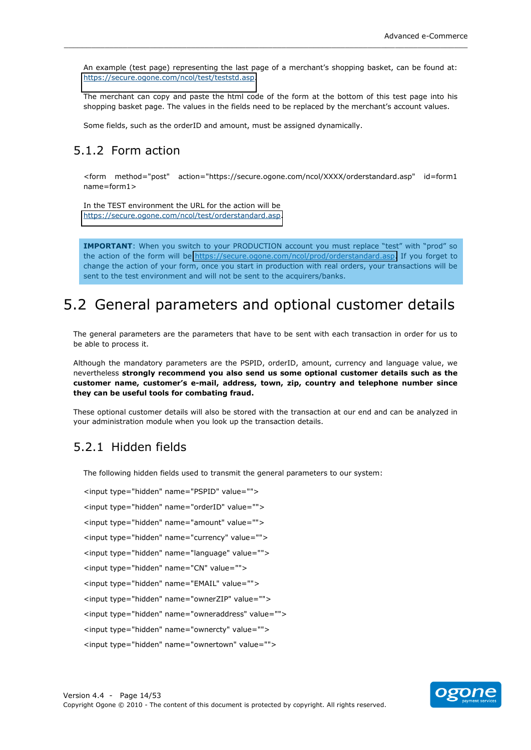An example (test page) representing the last page of a merchant's shopping basket, can be found at: https://secure.ogone.com/ncol/test/teststd.asp.

The merchant can copy and paste the html code of the form at the bottom of this test page into his shopping basket page. The values in the fields need to be replaced by the merchant's account values.

Some fields, such as the orderID and amount, must be assigned dynamically.

### <span id="page-13-0"></span>5.1.2 Form action

<form method="post" action="https://secure.ogone.com/ncol/XXXX/orderstandard.asp" id=form1 name=form1>

In the TEST environment the URL for the action will be https://secure.ogone.com/ncol/test/orderstandard.asp.

IMPORTANT: When you switch to your PRODUCTION account you must replace "test" with "prod" so the action of the form will be https://secure.ogone.com/ncol/prod/orderstandard.asp. If you forget to change the action of your form, once you start in production with real orders, your transactions will be sent to the test environment and will not be sent to the acquirers/banks.

## <span id="page-13-1"></span>5.2 General parameters and optional customer details

The general parameters are the parameters that have to be sent with each transaction in order for us to be able to process it.

Although the mandatory parameters are the PSPID, orderID, amount, currency and language value, we nevertheless strongly recommend you also send us some optional customer details such as the customer name, customer's e-mail, address, town, zip, country and telephone number since they can be useful tools for combating fraud.

These optional customer details will also be stored with the transaction at our end and can be analyzed in your administration module when you look up the transaction details.

### <span id="page-13-2"></span>5.2.1 Hidden fields

The following hidden fields used to transmit the general parameters to our system:

<input type="hidden" name="PSPID" value=""> <input type="hidden" name="orderID" value=""> <input type="hidden" name="amount" value=""> <input type="hidden" name="currency" value=""> <input type="hidden" name="language" value=""> <input type="hidden" name="CN" value=""> <input type="hidden" name="EMAIL" value=""> <input type="hidden" name="ownerZIP" value=""> <input type="hidden" name="owneraddress" value=""> <input type="hidden" name="ownercty" value=""> <input type="hidden" name="ownertown" value="">

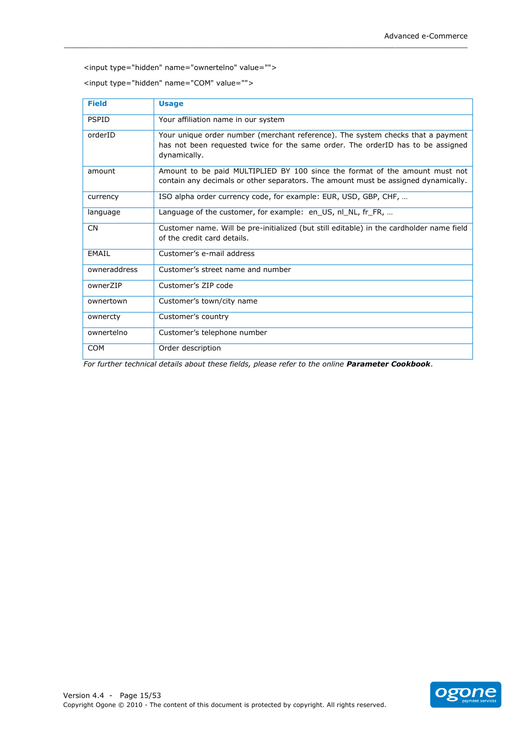<input type="hidden" name="ownertelno" value="">

<input type="hidden" name="COM" value="">

| <b>Field</b> | <b>Usage</b>                                                                                                                                                                       |
|--------------|------------------------------------------------------------------------------------------------------------------------------------------------------------------------------------|
| <b>PSPID</b> | Your affiliation name in our system                                                                                                                                                |
| orderID      | Your unique order number (merchant reference). The system checks that a payment<br>has not been requested twice for the same order. The orderID has to be assigned<br>dynamically. |
| amount       | Amount to be paid MULTIPLIED BY 100 since the format of the amount must not<br>contain any decimals or other separators. The amount must be assigned dynamically.                  |
| currency     | ISO alpha order currency code, for example: EUR, USD, GBP, CHF,                                                                                                                    |
| language     | Language of the customer, for example: en US, nl NL, fr FR,                                                                                                                        |
| <b>CN</b>    | Customer name. Will be pre-initialized (but still editable) in the cardholder name field<br>of the credit card details.                                                            |
| EMAIL        | Customer's e-mail address                                                                                                                                                          |
| owneraddress | Customer's street name and number                                                                                                                                                  |
| ownerZIP     | Customer's ZIP code                                                                                                                                                                |
| ownertown    | Customer's town/city name                                                                                                                                                          |
| ownercty     | Customer's country                                                                                                                                                                 |
| ownertelno   | Customer's telephone number                                                                                                                                                        |
| <b>COM</b>   | Order description                                                                                                                                                                  |

For further technical details about these fields, please refer to the online Parameter Cookbook.

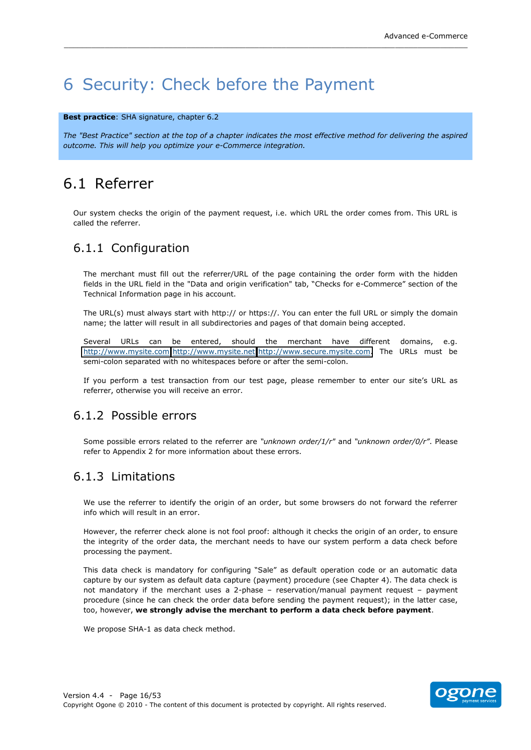## <span id="page-15-0"></span>6 Security: Check before the Payment

#### Best practice: SHA signature, chapter 6.2

The "Best Practice" section at the top of a chapter indicates the most effective method for delivering the aspired outcome. This will help you optimize your e-Commerce integration.

## <span id="page-15-1"></span>6.1 Referrer

Our system checks the origin of the payment reguest, i.e. which URL the order comes from. This URL is called the referrer.

### <span id="page-15-2"></span>6.1.1 Configuration

The merchant must fill out the referrer/URL of the page containing the order form with the hidden fields in the URL field in the "Data and origin verification" tab, "Checks for e-Commerce" section of the Technical Information page in his account.

The URL(s) must always start with http:// or https://. You can enter the full URL or simply the domain name; the latter will result in all subdirectories and pages of that domain being accepted.

Several URLs can be entered, should the merchant have different domains, e.g. http://www.mysite.com;http://www.mysite.net;http://www.secure.mysite.com. The URLs must be semi-colon separated with no whitespaces before or after the semi-colon.

If you perform a test transaction from our test page, please remember to enter our site's URL as referrer, otherwise you will receive an error.

### <span id="page-15-3"></span>6.1.2 Possible errors

Some possible errors related to the referrer are "unknown order/1/r" and "unknown order/0/r". Please refer to Appendix 2 for more information about these errors.

### <span id="page-15-4"></span>6.1.3 Limitations

We use the referrer to identify the origin of an order, but some browsers do not forward the referrer info which will result in an error.

However, the referrer check alone is not fool proof: although it checks the origin of an order, to ensure the integrity of the order data, the merchant needs to have our system perform a data check before processing the payment.

This data check is mandatory for configuring "Sale" as default operation code or an automatic data capture by our system as default data capture (payment) procedure (see Chapter 4). The data check is not mandatory if the merchant uses a 2-phase - reservation/manual payment request - payment procedure (since he can check the order data before sending the payment request); in the latter case, too, however, we strongly advise the merchant to perform a data check before payment.

We propose SHA-1 as data check method.

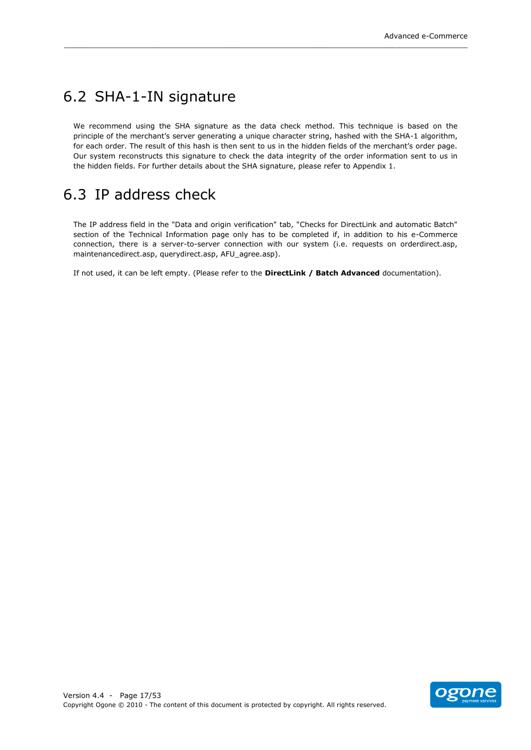## <span id="page-16-0"></span>6.2 SHA-1-IN signature

We recommend using the SHA signature as the data check method. This technique is based on the principle of the merchant's server generating a unique character string, hashed with the SHA-1 algorithm, for each order. The result of this hash is then sent to us in the hidden fields of the merchant's order page. Our system reconstructs this signature to check the data integrity of the order information sent to us in the hidden fields. For further details about the SHA signature, please refer to Appendix 1.

\_\_\_\_\_\_\_\_\_\_\_\_\_\_\_\_\_\_\_\_\_\_\_\_\_\_\_\_\_\_\_\_\_\_\_\_\_\_\_\_\_\_\_\_\_\_\_\_\_\_\_\_\_\_\_\_\_\_\_\_\_\_\_\_\_\_\_\_\_\_\_\_\_\_\_\_\_\_\_\_\_\_\_\_\_\_\_\_\_

## <span id="page-16-1"></span>6.3 IP!address!check!

The IP address field in the "Data and origin verification" tab, "Checks for DirectLink and automatic Batch" section of the Technical Information page only has to be completed if, in addition to his e-Commerce connection, there is a server-to-server connection with our system (i.e. requests on orderdirect.asp, maintenancedirect.asp, querydirect.asp, AFU\_agree.asp).

If not used, it can be left empty. (Please refer to the **DirectLink / Batch Advanced** documentation).

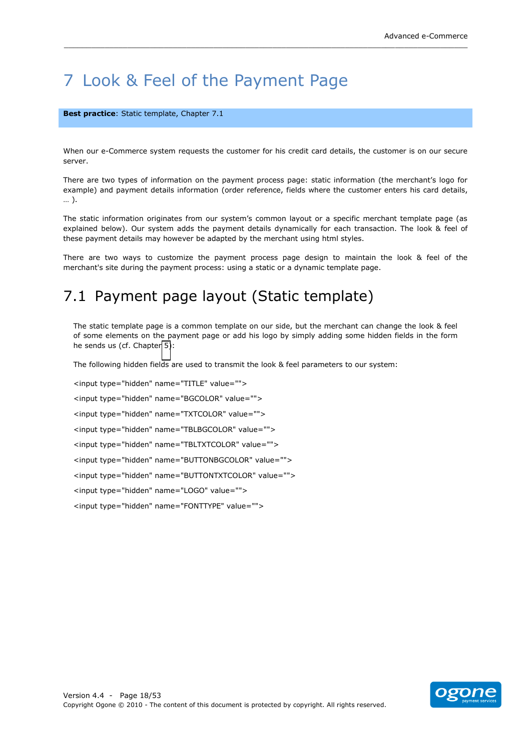## <span id="page-17-0"></span>7 Look & Feel of the Payment Page

#### **Best practice**: Static template, Chapter 7.1

When our e-Commerce system requests the customer for his credit card details, the customer is on our secure server.

\_\_\_\_\_\_\_\_\_\_\_\_\_\_\_\_\_\_\_\_\_\_\_\_\_\_\_\_\_\_\_\_\_\_\_\_\_\_\_\_\_\_\_\_\_\_\_\_\_\_\_\_\_\_\_\_\_\_\_\_\_\_\_\_\_\_\_\_\_\_\_\_\_\_\_\_\_\_\_\_\_\_\_\_\_\_\_\_\_

There are two types of information on the payment process page: static information (the merchant's logo for example) and payment details information (order reference, fields where the customer enters his card details, ... ).

The static information originates from our system's common layout or a specific merchant template page (as explained below). Our system adds the payment details dynamically for each transaction. The look & feel of these payment details may however be adapted by the merchant using html styles.

There are two ways to customize the payment process page design to maintain the look & feel of the merchant's site during the payment process: using a static or a dynamic template page.

## <span id="page-17-1"></span>7.1 Payment page layout (Static template)

The static template page is a common template on our side, but the merchant can change the look & feel of some elements on the payment page or add his logo by simply adding some hidden fields in the form he sends us (cf. Chapter 5):

The following hidden fields are used to transmit the look & feel parameters to our system:

<input type="hidden" name="TITLE" value=""> <input type="hidden" name="BGCOLOR" value=""> <input type="hidden" name="TXTCOLOR" value=""> <input type="hidden" name="TBLBGCOLOR" value=""> <input type="hidden" name="TBLTXTCOLOR" value=""> <input type="hidden" name="BUTTONBGCOLOR" value=""> <input type="hidden" name="BUTTONTXTCOLOR" value=""> <input type="hidden" name="LOGO" value=""> <input type="hidden" name="FONTTYPE" value="">

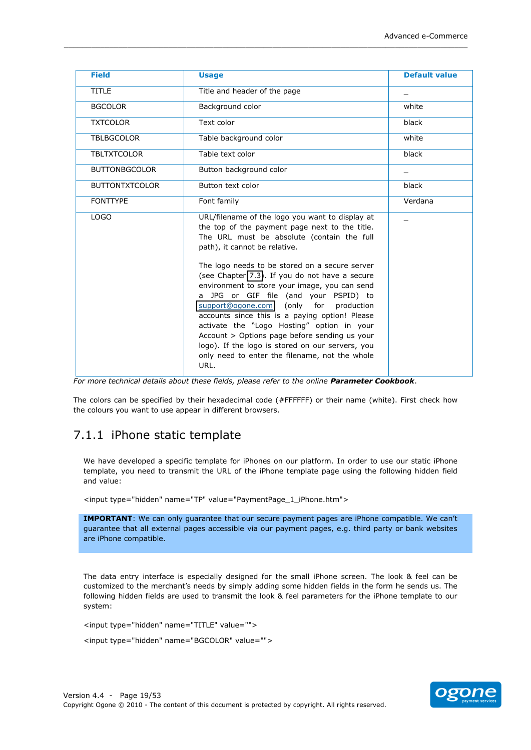| <b>Field</b>          | <b>Usage</b>                                                                                                                                                                                                                                                                                                                                                                                                                                                                                                                                                                                                                                                                                  | <b>Default value</b> |
|-----------------------|-----------------------------------------------------------------------------------------------------------------------------------------------------------------------------------------------------------------------------------------------------------------------------------------------------------------------------------------------------------------------------------------------------------------------------------------------------------------------------------------------------------------------------------------------------------------------------------------------------------------------------------------------------------------------------------------------|----------------------|
| <b>TITLE</b>          | Title and header of the page                                                                                                                                                                                                                                                                                                                                                                                                                                                                                                                                                                                                                                                                  |                      |
| <b>BGCOLOR</b>        | Background color                                                                                                                                                                                                                                                                                                                                                                                                                                                                                                                                                                                                                                                                              | white                |
| <b>TXTCOLOR</b>       | Text color                                                                                                                                                                                                                                                                                                                                                                                                                                                                                                                                                                                                                                                                                    | black                |
| <b>TBLBGCOLOR</b>     | Table background color                                                                                                                                                                                                                                                                                                                                                                                                                                                                                                                                                                                                                                                                        | white                |
| <b>TBLTXTCOLOR</b>    | Table text color                                                                                                                                                                                                                                                                                                                                                                                                                                                                                                                                                                                                                                                                              | black                |
| <b>BUTTONBGCOLOR</b>  | Button background color                                                                                                                                                                                                                                                                                                                                                                                                                                                                                                                                                                                                                                                                       |                      |
| <b>BUTTONTXTCOLOR</b> | Button text color                                                                                                                                                                                                                                                                                                                                                                                                                                                                                                                                                                                                                                                                             | black                |
| <b>FONTTYPE</b>       | Font family                                                                                                                                                                                                                                                                                                                                                                                                                                                                                                                                                                                                                                                                                   | Verdana              |
| LOGO                  | URL/filename of the logo you want to display at<br>the top of the payment page next to the title.<br>The URL must be absolute (contain the full<br>path), it cannot be relative.<br>The logo needs to be stored on a secure server<br>(see Chapter 7.3). If you do not have a secure<br>environment to store your image, you can send<br>a JPG or GIF file (and your PSPID) to<br>(only for<br>production<br>support@ogone.com<br>accounts since this is a paying option! Please<br>activate the "Logo Hosting" option in your<br>Account > Options page before sending us your<br>logo). If the logo is stored on our servers, you<br>only need to enter the filename, not the whole<br>URL. |                      |

\_\_\_\_\_\_\_\_\_\_\_\_\_\_\_\_\_\_\_\_\_\_\_\_\_\_\_\_\_\_\_\_\_\_\_\_\_\_\_\_\_\_\_\_\_\_\_\_\_\_\_\_\_\_\_\_\_\_\_\_\_\_\_\_\_\_\_\_\_\_\_\_\_\_\_\_\_\_\_\_\_\_\_\_\_\_\_\_\_

*For\$more\$technical\$details\$about\$these\$fields,\$please\$refer\$to\$the\$online\$Parameter'Cookbook*.

The colors can be specified by their hexadecimal code (#FFFFFF) or their name (white). First check how the colours you want to use appear in different browsers.

### <span id="page-18-0"></span>7.1.1 iPhone static template

We have developed a specific template for iPhones on our platform. In order to use our static iPhone template, you need to transmit the URL of the iPhone template page using the following hidden field and value:

<input type="hidden" name="TP" value="PaymentPage 1 iPhone.htm">

**IMPORTANT**: We can only guarantee that our secure payment pages are iPhone compatible. We can't guarantee that all external pages accessible via our payment pages, e.g. third party or bank websites are iPhone compatible.

The data entry interface is especially designed for the small iPhone screen. The look & feel can be customized to the merchant's needs by simply adding some hidden fields in the form he sends us. The following hidden fields are used to transmit the look & feel parameters for the iPhone template to our system:

<input type="hidden" name="TITLE" value="">

<input type="hidden" name="BGCOLOR" value="">

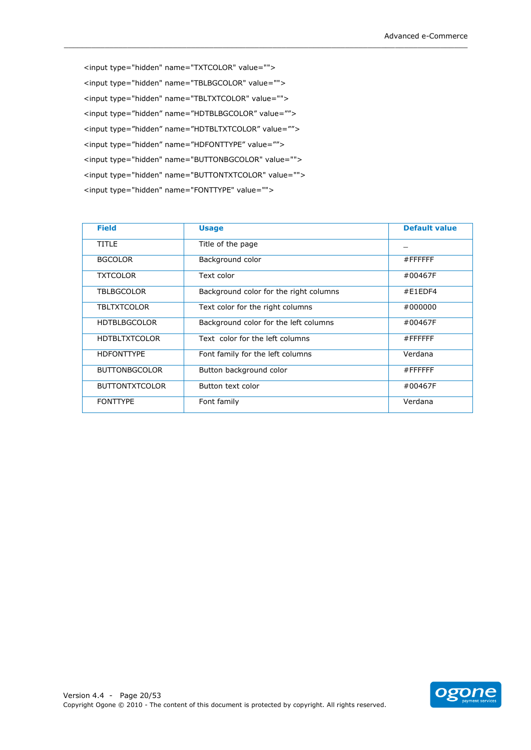<input type="hidden" name="TXTCOLOR" value=""> <input type="hidden" name="TBLBGCOLOR" value=""> <input type="hidden" name="TBLTXTCOLOR" value=""> <input type="hidden" name="HDTBLBGCOLOR" value=""> <input type="hidden" name="HDTBLTXTCOLOR" value=""> <input type="hidden" name="HDFONTTYPE" value=""> <input type="hidden" name="BUTTONBGCOLOR" value=""> <input type="hidden" name="BUTTONTXTCOLOR" value=""> <input type="hidden" name="FONTTYPE" value="">

| <b>Field</b>          | <b>Usage</b>                           | <b>Default value</b> |
|-----------------------|----------------------------------------|----------------------|
| <b>TITLE</b>          | Title of the page                      |                      |
| <b>BGCOLOR</b>        | Background color                       | $#$ FFFFFFF          |
| <b>TXTCOLOR</b>       | Text color                             | #00467F              |
| <b>TBLBGCOLOR</b>     | Background color for the right columns | #E1EDF4              |
| <b>TBLTXTCOLOR</b>    | Text color for the right columns       | #000000              |
| <b>HDTBLBGCOLOR</b>   | Background color for the left columns  | #00467F              |
| <b>HDTBLTXTCOLOR</b>  | Text color for the left columns        | $#$ FFFFFFF          |
| <b>HDFONTTYPE</b>     | Font family for the left columns       | Verdana              |
| <b>BUTTONBGCOLOR</b>  | Button background color                | $#$ FFFFFFF          |
| <b>BUTTONTXTCOLOR</b> | Button text color                      | #00467F              |
| <b>FONTTYPE</b>       | Font family                            | Verdana              |

\_\_\_\_\_\_\_\_\_\_\_\_\_\_\_\_\_\_\_\_\_\_\_\_\_\_\_\_\_\_\_\_\_\_\_\_\_\_\_\_\_\_\_\_\_\_\_\_\_\_\_\_\_\_\_\_\_\_\_\_\_\_\_\_\_\_\_\_\_\_\_\_\_\_\_\_\_\_\_\_\_\_\_\_\_\_\_\_\_

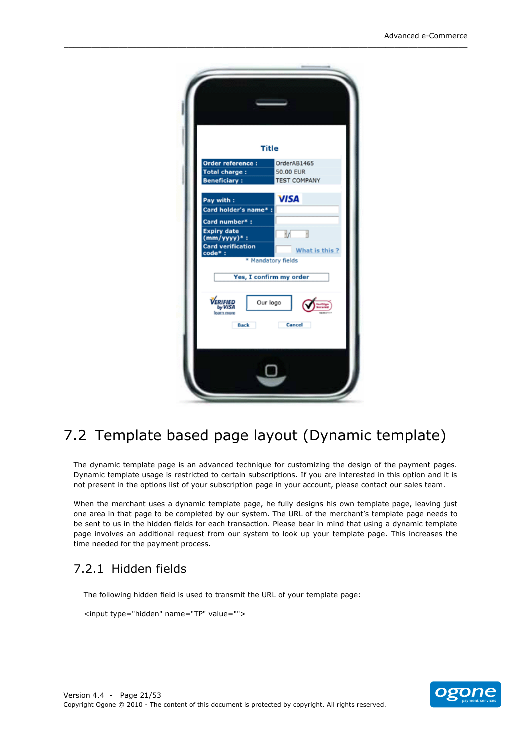|                                                  | <b>Title</b>            |
|--------------------------------------------------|-------------------------|
| Order reference :                                | OrderAB1465             |
| <b>Total charge:</b>                             | 50.00 EUR               |
| <b>Beneficiary:</b>                              | <b>TEST COMPANY</b>     |
| Pay with:<br>Card holder's name* :               | <b>VISA</b>             |
| Card number*:                                    |                         |
| <b>Expiry date</b><br>$(mm/yyyy)*$ :             | V                       |
| <b>Card verification</b><br>code*:               | What is this?           |
|                                                  | * Mandatory fields      |
|                                                  | Yes, I confirm my order |
| VERIFIED<br>by VISA<br>learn more<br><b>Back</b> | Our logo<br>Cancel      |
|                                                  |                         |

\_\_\_\_\_\_\_\_\_\_\_\_\_\_\_\_\_\_\_\_\_\_\_\_\_\_\_\_\_\_\_\_\_\_\_\_\_\_\_\_\_\_\_\_\_\_\_\_\_\_\_\_\_\_\_\_\_\_\_\_\_\_\_\_\_\_\_\_\_\_\_\_\_\_\_\_\_\_\_\_\_\_\_\_\_\_\_\_\_

## <span id="page-20-0"></span>7.2 Template based page layout (Dynamic template)

The dynamic template page is an advanced technique for customizing the design of the payment pages. Dynamic template usage is restricted to certain subscriptions. If you are interested in this option and it is not present in the options list of your subscription page in your account, please contact our sales team.

When the merchant uses a dynamic template page, he fully designs his own template page, leaving just one area in that page to be completed by our system. The URL of the merchant's template page needs to be sent to us in the hidden fields for each transaction. Please bear in mind that using a dynamic template page involves an additional request from our system to look up your template page. This increases the time needed for the payment process.

### <span id="page-20-1"></span>7.2.1 Hidden fields

The following hidden field is used to transmit the URL of your template page:

<input type="hidden" name="TP" value="">

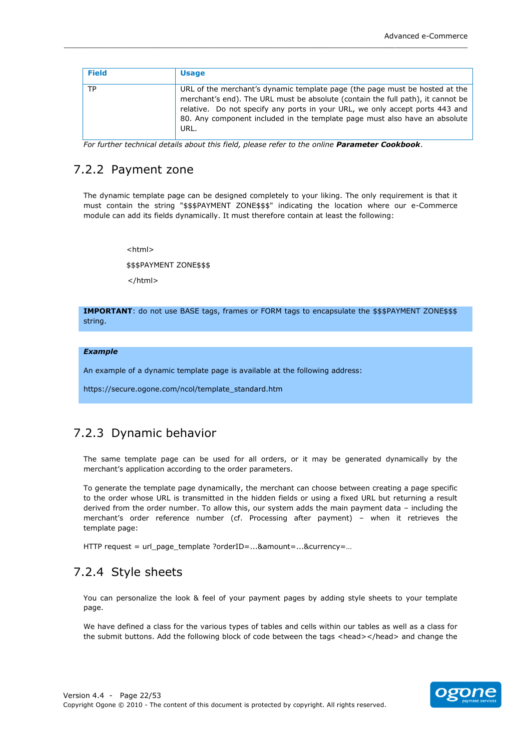| <b>Field</b> | <b>Usage</b>                                                                                                                                                                                                                                                                                                                         |
|--------------|--------------------------------------------------------------------------------------------------------------------------------------------------------------------------------------------------------------------------------------------------------------------------------------------------------------------------------------|
| <b>TP</b>    | URL of the merchant's dynamic template page (the page must be hosted at the<br>merchant's end). The URL must be absolute (contain the full path), it cannot be<br>relative. Do not specify any ports in your URL, we only accept ports 443 and<br>80. Any component included in the template page must also have an absolute<br>URL. |

For further technical details about this field, please refer to the online Parameter Cookbook.

### <span id="page-21-0"></span>7.2.2 Payment zone

The dynamic template page can be designed completely to your liking. The only requirement is that it must contain the string "\$\$\$PAYMENT ZONE\$\$\$" indicating the location where our e-Commerce module can add its fields dynamically. It must therefore contain at least the following:

<html>

\$\$\$PAYMENT ZONE\$\$\$

 $<$ /html $>$ 

IMPORTANT: do not use BASE tags, frames or FORM tags to encapsulate the \$\$\$PAYMENT ZONE\$\$\$ string.

#### **Example**

An example of a dynamic template page is available at the following address:

https://secure.ogone.com/ncol/template\_standard.htm

### <span id="page-21-1"></span>7.2.3 Dynamic behavior

The same template page can be used for all orders, or it may be generated dynamically by the merchant's application according to the order parameters.

To generate the template page dynamically, the merchant can choose between creating a page specific to the order whose URL is transmitted in the hidden fields or using a fixed URL but returning a result derived from the order number. To allow this, our system adds the main payment data - including the merchant's order reference number (cf. Processing after payment) - when it retrieves the template page:

HTTP request = url\_page\_template ?orderID=...&amount=...&currency=...

### <span id="page-21-2"></span>7.2.4 Style sheets

You can personalize the look & feel of your payment pages by adding style sheets to your template page.

We have defined a class for the various types of tables and cells within our tables as well as a class for the submit buttons. Add the following block of code between the tags <head></head> and change the

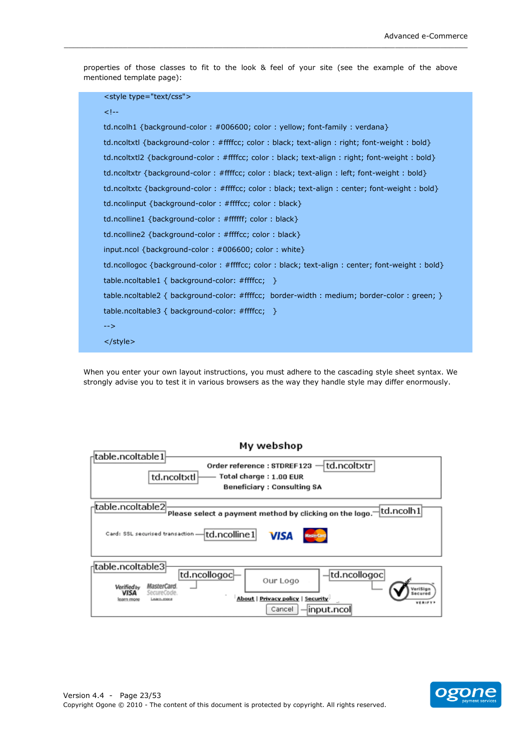properties of those classes to fit to the look & feel of your site (see the example of the above mentioned template page):

```
<style type="text/css">
<! \leftarrowtd.ncolh1 {background-color : #006600; color : yellow; font-family : verdana}
td.ncoltxtl {background-color : #ffffcc; color : black; text-align : right; font-weight : bold}
td.ncoltxtl2 {background-color : #ffffcc; color : black; text-align : right; font-weight : bold}
td.ncoltxtr {background-color : #ffffcc; color : black; text-align : left; font-weight : bold}
td.ncoltxtc {background-color : #ffffcc; color : black; text-align : center; font-weight : bold}
td.ncolinput {background-color : #ffffcc; color : black}
td.ncolline1 {background-color : #ffffff; color : black}
td.ncolline2 {background-color : #ffffcc; color : black}
input.ncol {background-color: #006600; color: white}
td.ncollogoc {background-color : #ffffcc; color : black; text-align : center; font-weight : bold}
table.ncoltable1 { background-color: #ffffcc; }
table.ncoltable2 { background-color: #ffffcc; border-width : medium; border-color : green; }
table.ncoltable3 { background-color: #ffffcc; }
\rightarrow</style>
```
When you enter your own layout instructions, you must adhere to the cascading style sheet syntax. We strongly advise you to test it in various browsers as the way they handle style may differ enormously.

| My webshop                                                                                                                                              |  |  |
|---------------------------------------------------------------------------------------------------------------------------------------------------------|--|--|
| <sub>r</sub> ¦table.ncoltable1<br>td.ncoltxtr<br>Order reference: STDREF123<br>td.ncoltxtl<br>Total charge: 1.00 EUR<br>Beneficiary : Consulting SA     |  |  |
| <sub>r</sub> itable.ncoltable2<br>td.ncolh1<br>Please select a payment method by clicking on the logo.                                                  |  |  |
| Card: SSL securised transaction - td.ncolline 1<br><b>VISA</b>                                                                                          |  |  |
| dtable.ncoltable3<br>td.ncollogoc<br>td.ncollogoc                                                                                                       |  |  |
| Our Logo<br>MasterCard.<br><b>Verified by</b><br>eriSian<br><b>VISA</b><br>SecureCode.<br>About   Privacy policy   Security<br>learn more<br>Laaks ooki |  |  |
| VERIFYN<br>Cancel<br>$\lnot$ input.ncol                                                                                                                 |  |  |

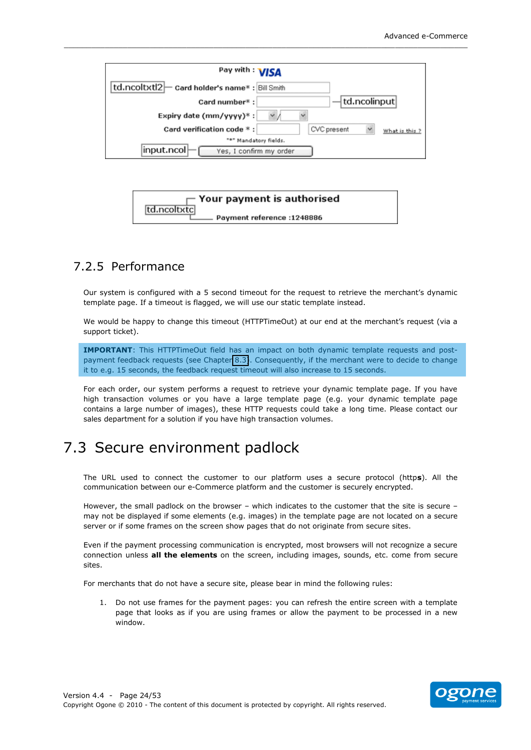

\_\_\_\_\_\_\_\_\_\_\_\_\_\_\_\_\_\_\_\_\_\_\_\_\_\_\_\_\_\_\_\_\_\_\_\_\_\_\_\_\_\_\_\_\_\_\_\_\_\_\_\_\_\_\_\_\_\_\_\_\_\_\_\_\_\_\_\_\_\_\_\_\_\_\_\_\_\_\_\_\_\_\_\_\_\_\_\_\_



### <span id="page-23-0"></span>7.2.5 Performance

Our system is configured with a 5 second timeout for the request to retrieve the merchant's dynamic template page. If a timeout is flagged, we will use our static template instead.

We would be happy to change this timeout (HTTPTimeOut) at our end at the merchant's request (via a support ticket).

**IMPORTANT:** This HTTPTimeOut field has an impact on both dynamic template requests and postpayment feedback requests (see Chapter 8.3). Consequently, if the merchant were to decide to change it to e.g. 15 seconds, the feedback request timeout will also increase to 15 seconds.

For each order, our system performs a request to retrieve your dynamic template page. If you have high transaction volumes or you have a large template page (e.g. your dynamic template page contains a large number of images), these HTTP requests could take a long time. Please contact our sales department for a solution if you have high transaction volumes.

## <span id="page-23-1"></span>7.3 Secure environment padlock

The URL used to connect the customer to our platform uses a secure protocol (https). All the communication between our e-Commerce platform and the customer is securely encrypted.

However, the small padlock on the browser - which indicates to the customer that the site is secure may not be displayed if some elements (e.g. images) in the template page are not located on a secure server or if some frames on the screen show pages that do not originate from secure sites.

Even if the payment processing communication is encrypted, most browsers will not recognize a secure connection unless **all the elements** on the screen, including images, sounds, etc. come from secure sites.

For merchants that do not have a secure site, please bear in mind the following rules:

1. Do not use frames for the payment pages: you can refresh the entire screen with a template page that looks as if you are using frames or allow the payment to be processed in a new window.

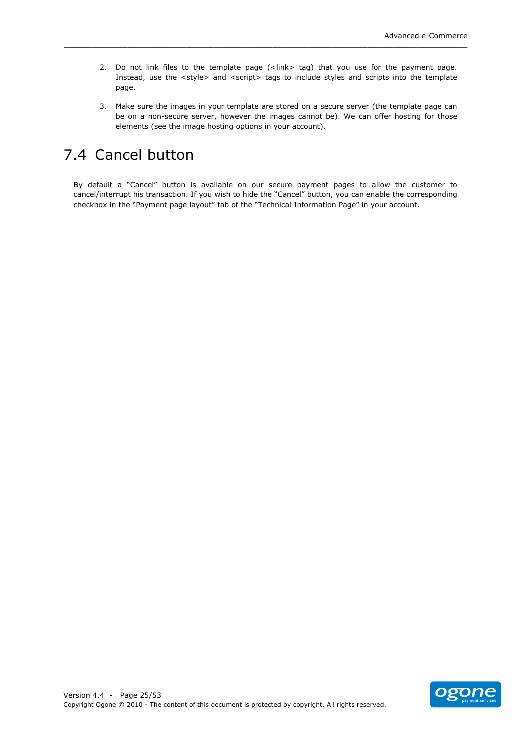2. Do not link files to the template page (<link> tag) that you use for the payment page. Instead, use the <style> and <script> tags to include styles and scripts into the template page.

\_\_\_\_\_\_\_\_\_\_\_\_\_\_\_\_\_\_\_\_\_\_\_\_\_\_\_\_\_\_\_\_\_\_\_\_\_\_\_\_\_\_\_\_\_\_\_\_\_\_\_\_\_\_\_\_\_\_\_\_\_\_\_\_\_\_\_\_\_\_\_\_\_\_\_\_\_\_\_\_\_\_\_\_\_\_\_\_\_

3. Make sure the images in your template are stored on a secure server (the template page can be on a non-secure server, however the images cannot be). We can offer hosting for those elements (see the image hosting options in your account).

## <span id="page-24-0"></span>7.4 Cancel button

By default a "Cancel" button is available on our secure payment pages to allow the customer to cancel/interrupt his transaction. If you wish to hide the "Cancel" button, you can enable the corresponding checkbox in the "Payment page layout" tab of the "Technical Information Page" in your account.

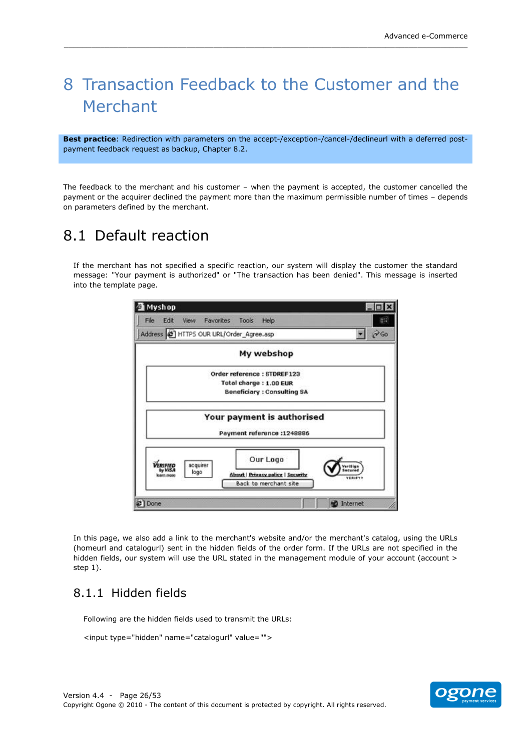## <span id="page-25-0"></span>8 Transaction Feedback to the Customer and the Merchant

\_\_\_\_\_\_\_\_\_\_\_\_\_\_\_\_\_\_\_\_\_\_\_\_\_\_\_\_\_\_\_\_\_\_\_\_\_\_\_\_\_\_\_\_\_\_\_\_\_\_\_\_\_\_\_\_\_\_\_\_\_\_\_\_\_\_\_\_\_\_\_\_\_\_\_\_\_\_\_\_\_\_\_\_\_\_\_\_\_

**Best practice**: Redirection with parameters on the accept-/exception-/cancel-/declineurl with a deferred postpayment feedback request as backup, Chapter 8.2.

The feedback to the merchant and his customer - when the payment is accepted, the customer cancelled the payment or the acquirer declined the payment more than the maximum permissible number of times - depends on parameters defined by the merchant.

## <span id="page-25-1"></span>8.1 Default reaction

If the merchant has not specified a specific reaction, our system will display the customer the standard message: "Your payment is authorized" or "The transaction has been denied". This message is inserted into the template page.



In this page, we also add a link to the merchant's website and/or the merchant's catalog, using the URLs (homeurl and catalogurl) sent in the hidden fields of the order form. If the URLs are not specified in the hidden fields, our system will use the URL stated in the management module of your account (account > step  $1$ ).

### <span id="page-25-2"></span>8.1.1 Hidden fields

Following are the hidden fields used to transmit the URLs:

<input type="hidden" name="catalogurl" value="">

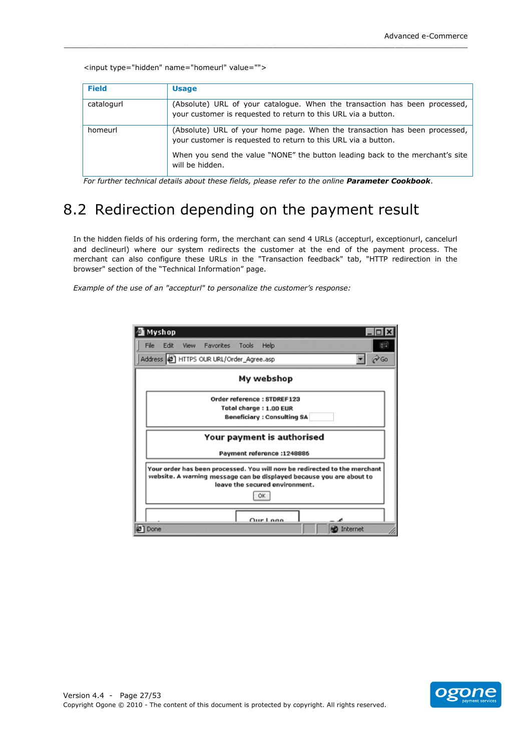|  | <input name="homeurl" type="hidden" value=""/> |  |
|--|------------------------------------------------|--|
|  |                                                |  |

| <b>Field</b> | <b>Usage</b>                                                                                                                                 |
|--------------|----------------------------------------------------------------------------------------------------------------------------------------------|
| catalogurl   | (Absolute) URL of your catalogue. When the transaction has been processed,<br>your customer is requested to return to this URL via a button. |
| homeurl      | (Absolute) URL of your home page. When the transaction has been processed,<br>your customer is requested to return to this URL via a button. |
|              | When you send the value "NONE" the button leading back to the merchant's site<br>will be hidden.                                             |

For further technical details about these fields, please refer to the online Parameter Cookbook.

## <span id="page-26-0"></span>8.2 Redirection depending on the payment result

In the hidden fields of his ordering form, the merchant can send 4 URLs (accepturl, exceptionurl, cancelurl and declineurl) where our system redirects the customer at the end of the payment process. The merchant can also configure these URLs in the "Transaction feedback" tab, "HTTP redirection in the browser" section of the "Technical Information" page.

Example of the use of an "accepturl" to personalize the customer's response:

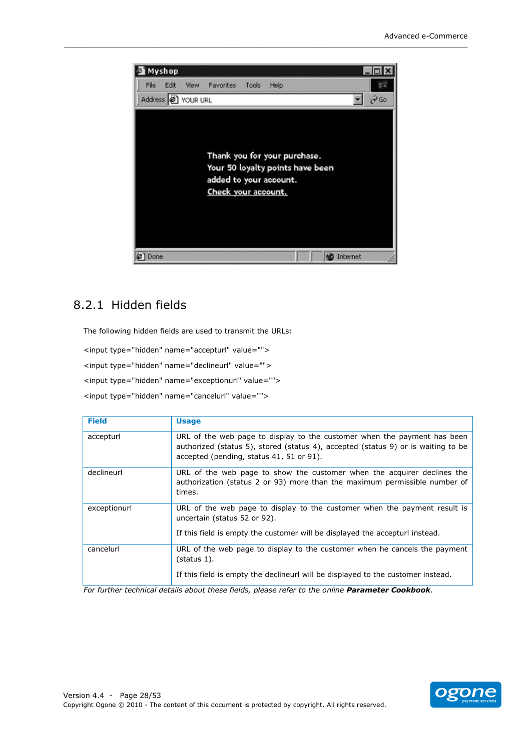

\_\_\_\_\_\_\_\_\_\_\_\_\_\_\_\_\_\_\_\_\_\_\_\_\_\_\_\_\_\_\_\_\_\_\_\_\_\_\_\_\_\_\_\_\_\_\_\_\_\_\_\_\_\_\_\_\_\_\_\_\_\_\_\_\_\_\_\_\_\_\_\_\_\_\_\_\_\_\_\_\_\_\_\_\_\_\_\_\_

### <span id="page-27-0"></span>8.2.1 Hidden fields

The following hidden fields are used to transmit the URLs:

```
<input type="hidden" name="accepturl" value="">
```
<input type="hidden" name="declineurl" value="">

<input type="hidden" name="exceptionurl" value="">

<input type="hidden" name="cancelurl" value="">

| <b>Field</b> | <b>Usage</b>                                                                                                                                                    |
|--------------|-----------------------------------------------------------------------------------------------------------------------------------------------------------------|
| accepturl    | URL of the web page to display to the customer when the payment has been<br>authorized (status 5), stored (status 4), accepted (status 9) or is waiting to be   |
|              | accepted (pending, status 41, 51 or 91).                                                                                                                        |
| declineurl   | URL of the web page to show the customer when the acquirer declines the<br>authorization (status 2 or 93) more than the maximum permissible number of<br>times. |
| exceptionurl | URL of the web page to display to the customer when the payment result is<br>uncertain (status 52 or 92).                                                       |
|              | If this field is empty the customer will be displayed the accepturl instead.                                                                                    |
| cancelurl    | URL of the web page to display to the customer when he cancels the payment<br>(status 1).                                                                       |
|              | If this field is empty the declineurl will be displayed to the customer instead.                                                                                |

For further technical details about these fields, please refer to the online **Parameter Cookbook**.

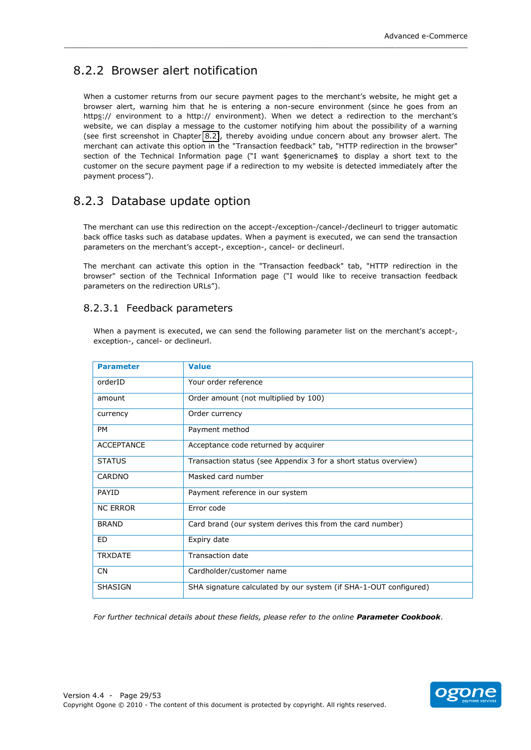### <span id="page-28-0"></span>8.2.2 Browser alert notification

When a customer returns from our secure payment pages to the merchant's website, he might get a browser alert, warning him that he is entering a non-secure environment (since he goes from an https:// environment to a http:// environment). When we detect a redirection to the merchant's website, we can display a message to the customer notifying him about the possibility of a warning (see first screenshot in Chapter 8.2), thereby avoiding undue concern about any browser alert. The merchant can activate this option in the "Transaction feedback" tab, "HTTP redirection in the browser" section of the Technical Information page ("I want \$genericname\$ to display a short text to the customer on the secure payment page if a redirection to my website is detected immediately after the payment process").

### <span id="page-28-1"></span>8.2.3 Database update option

The merchant can use this redirection on the accept-/exception-/cancel-/declineurl to trigger automatic back office tasks such as database updates. When a payment is executed, we can send the transaction parameters on the merchant's accept-, exception-, cancel- or declineurl.

The merchant can activate this option in the "Transaction feedback" tab, "HTTP redirection in the browser" section of the Technical Information page ("I would like to receive transaction feedback parameters on the redirection URLs").

#### <span id="page-28-2"></span>8.2.3.1 Feedback parameters

When a payment is executed, we can send the following parameter list on the merchant's accept-, exception-, cancel- or declineurl.

| <b>Parameter</b>  | <b>Value</b>                                                     |
|-------------------|------------------------------------------------------------------|
| orderID           | Your order reference                                             |
| amount            | Order amount (not multiplied by 100)                             |
| currency          | Order currency                                                   |
| PM                | Payment method                                                   |
| <b>ACCEPTANCE</b> | Acceptance code returned by acquirer                             |
| <b>STATUS</b>     | Transaction status (see Appendix 3 for a short status overview)  |
| CARDNO            | Masked card number                                               |
| <b>PAYID</b>      | Payment reference in our system                                  |
| <b>NC ERROR</b>   | Error code                                                       |
| <b>BRAND</b>      | Card brand (our system derives this from the card number)        |
| ED                | Expiry date                                                      |
| <b>TRXDATE</b>    | <b>Transaction date</b>                                          |
| <b>CN</b>         | Cardholder/customer name                                         |
| <b>SHASIGN</b>    | SHA signature calculated by our system (if SHA-1-OUT configured) |

For further technical details about these fields, please refer to the online Parameter Cookbook.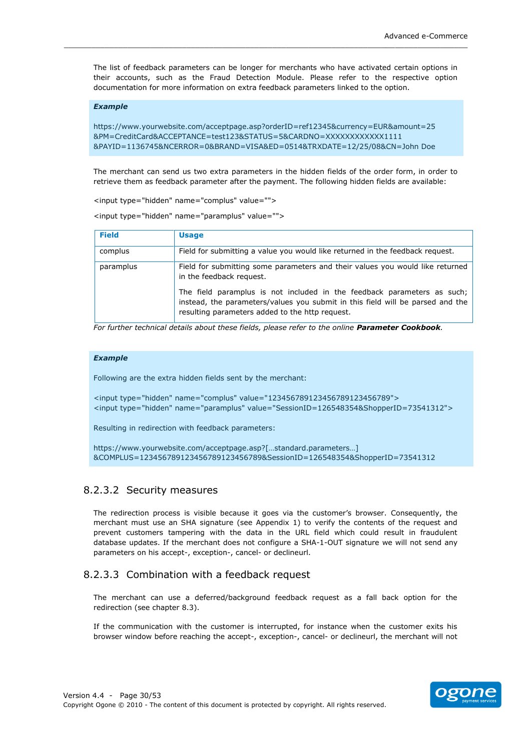The list of feedback parameters can be longer for merchants who have activated certain options in their accounts, such as the Fraud Detection Module. Please refer to the respective option documentation for more information on extra feedback parameters linked to the option.

\_\_\_\_\_\_\_\_\_\_\_\_\_\_\_\_\_\_\_\_\_\_\_\_\_\_\_\_\_\_\_\_\_\_\_\_\_\_\_\_\_\_\_\_\_\_\_\_\_\_\_\_\_\_\_\_\_\_\_\_\_\_\_\_\_\_\_\_\_\_\_\_\_\_\_\_\_\_\_\_\_\_\_\_\_\_\_\_\_

#### *Example*

```
https://www.yourwebsite.com/acceptpage.asp?orderID=ref12345&currency=EUR&amount=25
&PM=CreditCard&ACCEPTANCE=test123&STATUS=5&CARDNO=XXXXXXXXXXXX1111
&PAYID=1136745&NCERROR=0&BRAND=VISA&ED=0514&TRXDATE=12/25/08&CN=John!Doe
```
The merchant can send us two extra parameters in the hidden fields of the order form, in order to retrieve them as feedback parameter after the payment. The following hidden fields are available:

<input type="hidden" name="complus" value="">

<input type="hidden" name="paramplus" value="">

| <b>Field</b> | <b>Usage</b>                                                                                                                                                                                                 |
|--------------|--------------------------------------------------------------------------------------------------------------------------------------------------------------------------------------------------------------|
| complus      | Field for submitting a value you would like returned in the feedback request.                                                                                                                                |
| paramplus    | Field for submitting some parameters and their values you would like returned<br>in the feedback request.                                                                                                    |
|              | The field paramplus is not included in the feedback parameters as such;<br>instead, the parameters/values you submit in this field will be parsed and the<br>resulting parameters added to the http request. |

For further technical details about these fields, please refer to the online Parameter Cookbook.

#### *Example''*

Following are the extra hidden fields sent by the merchant:

<input type="hidden" name="complus" value="123456789123456789123456789"> <input type="hidden" name="paramplus" value="SessionID=126548354&ShopperID=73541312">

Resulting in redirection with feedback parameters:

```
https://www.yourwebsite.com/acceptpage.asp?[...standard.parameters...]
&COMPLUS=123456789123456789123456789&SessionID=126548354&ShopperID=73541312
```
#### <span id="page-29-0"></span>8.2.3.2 Security measures

The redirection process is visible because it goes via the customer's browser. Consequently, the merchant must use an SHA signature (see Appendix 1) to verify the contents of the request and prevent customers tampering with the data in the URL field which could result in fraudulent database updates. If the merchant does not configure a SHA-1-OUT signature we will not send any parameters on his accept-, exception-, cancel- or declineurl.

#### <span id="page-29-1"></span>8.2.3.3 Combination with a feedback request

The merchant can use a deferred/background feedback request as a fall back option for the redirection (see chapter 8.3).

If the communication with the customer is interrupted, for instance when the customer exits his browser window before reaching the accept-, exception-, cancel- or declineurl, the merchant will not

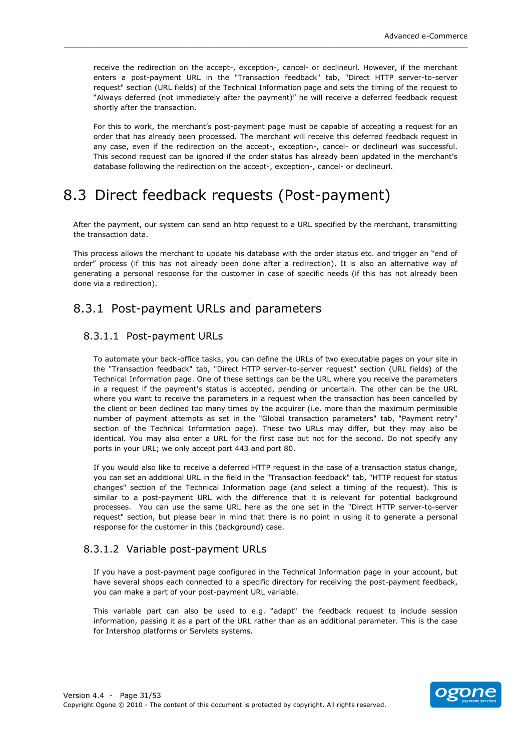receive the redirection on the accept-, exception-, cancel- or declineurl. However, if the merchant enters a post-payment URL in the "Transaction feedback" tab, "Direct HTTP server-to-server request" section (URL fields) of the Technical Information page and sets the timing of the request to "Always deferred (not immediately after the payment)" he will receive a deferred feedback request shortly after the transaction.

For this to work, the merchant's post-payment page must be capable of accepting a request for an order that has already been processed. The merchant will receive this deferred feedback request in any case, even if the redirection on the accept-, exception-, cancel- or declineurl was successful. This second request can be ignored if the order status has already been updated in the merchant's database following the redirection on the accept-, exception-, cancel- or declineurl.

## <span id="page-30-0"></span>8.3 Direct feedback requests (Post-payment)

After the payment, our system can send an http request to a URL specified by the merchant, transmitting the transaction data.

This process allows the merchant to update his database with the order status etc. and trigger an "end of order" process (if this has not already been done after a redirection). It is also an alternative way of generating a personal response for the customer in case of specific needs (if this has not already been done via a redirection).

### <span id="page-30-1"></span>8.3.1 Post-payment URLs and parameters

### <span id="page-30-2"></span>8.3.1.1 Post-payment URLs

To automate your back-office tasks, you can define the URLs of two executable pages on your site in the "Transaction feedback" tab, "Direct HTTP server-to-server request" section (URL fields) of the Technical Information page. One of these settings can be the URL where you receive the parameters in a request if the payment's status is accepted, pending or uncertain. The other can be the URL where you want to receive the parameters in a request when the transaction has been cancelled by the client or been declined too many times by the acquirer (i.e. more than the maximum permissible number of payment attempts as set in the "Global transaction parameters" tab, "Payment retry" section of the Technical Information page). These two URLs may differ, but they may also be identical. You may also enter a URL for the first case but not for the second. Do not specify any ports in your URL; we only accept port 443 and port 80.

If you would also like to receive a deferred HTTP request in the case of a transaction status change, you can set an additional URL in the field in the "Transaction feedback" tab, "HTTP request for status changes" section of the Technical Information page (and select a timing of the request). This is similar to a post-payment URL with the difference that it is relevant for potential background processes. You can use the same URL here as the one set in the "Direct HTTP server-to-server request" section, but please bear in mind that there is no point in using it to generate a personal response for the customer in this (background) case.

#### <span id="page-30-3"></span>8.3.1.2 Variable post-payment URLs

If you have a post-payment page configured in the Technical Information page in your account, but have several shops each connected to a specific directory for receiving the post-payment feedback, you can make a part of your post-payment URL variable.

This variable part can also be used to e.g. "adapt" the feedback request to include session information, passing it as a part of the URL rather than as an additional parameter. This is the case for Intershop platforms or Servlets systems.

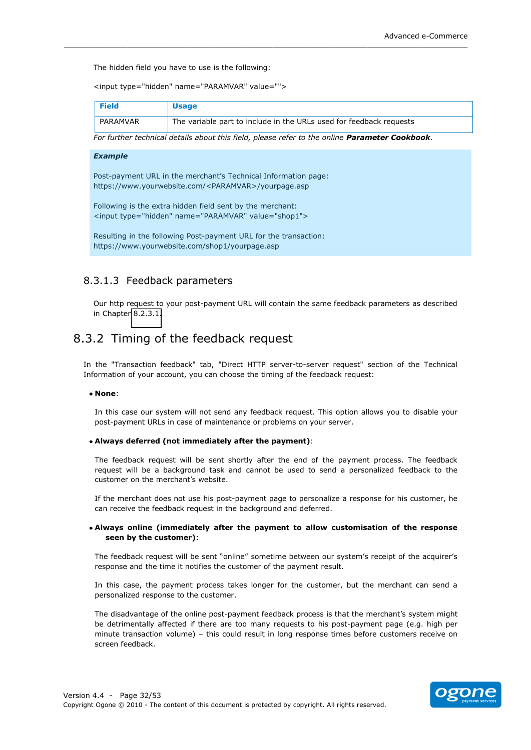The hidden field you have to use is the following:

<input type="hidden" name="PARAMVAR" value="">

| <b>Field</b> | <b>Usage</b>                                                        |
|--------------|---------------------------------------------------------------------|
| PARAMVAR     | The variable part to include in the URLs used for feedback requests |

For further technical details about this field, please refer to the online **Parameter Cookbook**.

\_\_\_\_\_\_\_\_\_\_\_\_\_\_\_\_\_\_\_\_\_\_\_\_\_\_\_\_\_\_\_\_\_\_\_\_\_\_\_\_\_\_\_\_\_\_\_\_\_\_\_\_\_\_\_\_\_\_\_\_\_\_\_\_\_\_\_\_\_\_\_\_\_\_\_\_\_\_\_\_\_\_\_\_\_\_\_\_\_

#### *Example''*

Post-payment URL in the merchant's Technical Information page: https://www.yourwebsite.com/<PARAMVAR>/yourpage.asp

Following is the extra hidden field sent by the merchant: <input type="hidden" name="PARAMVAR" value="shop1">

Resulting in the following Post-payment URL for the transaction: https://www.yourwebsite.com/shop1/yourpage.asp

#### <span id="page-31-0"></span>8.3.1.3 Feedback parameters

Our http request to your post-payment URL will contain the same feedback parameters as described in Chapter 8.2.3.1.

### <span id="page-31-1"></span>8.3.2 Timing of the feedback request

In the "Transaction feedback" tab, "Direct HTTP server-to-server request" section of the Technical Information of your account, you can choose the timing of the feedback request:

#### **None**:!

In this case our system will not send any feedback request. This option allows you to disable your post-payment URLs in case of maintenance or problems on your server.

#### • Always deferred (not immediately after the payment):

The feedback request will be sent shortly after the end of the payment process. The feedback request will be a background task and cannot be used to send a personalized feedback to the customer on the merchant's website.

If the merchant does not use his post-payment page to personalize a response for his customer, he can receive the feedback request in the background and deferred.

#### • Always online (immediately after the payment to allow customisation of the response seen by the customer):

The feedback request will be sent "online" sometime between our system's receipt of the acquirer's response and the time it notifies the customer of the payment result.

In this case, the payment process takes longer for the customer, but the merchant can send a personalized response to the customer.

The disadvantage of the online post-payment feedback process is that the merchant's system might be detrimentally affected if there are too many requests to his post-payment page (e.g. high per minute transaction volume) - this could result in long response times before customers receive on screen feedback.

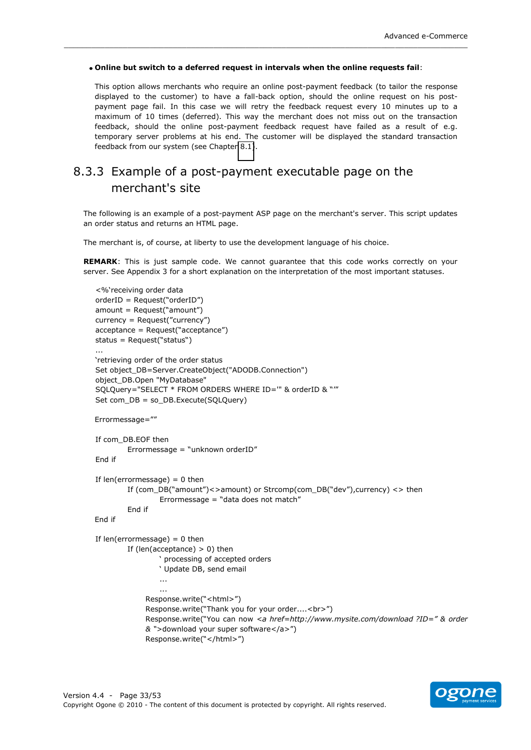#### Online but switch to a deferred request in intervals when the online requests fail:

\_\_\_\_\_\_\_\_\_\_\_\_\_\_\_\_\_\_\_\_\_\_\_\_\_\_\_\_\_\_\_\_\_\_\_\_\_\_\_\_\_\_\_\_\_\_\_\_\_\_\_\_\_\_\_\_\_\_\_\_\_\_\_\_\_\_\_\_\_\_\_\_\_\_\_\_\_\_\_\_\_\_\_\_\_\_\_\_\_

This option allows merchants who require an online post-payment feedback (to tailor the response displayed to the customer) to have a fall-back option, should the online request on his postpayment page fail. In this case we will retry the feedback request every 10 minutes up to a maximum of 10 times (deferred). This way the merchant does not miss out on the transaction feedback, should the online post-payment feedback request have failed as a result of e.g. temporary server problems at his end. The customer will be displayed the standard transaction feedback from our system (see Chapter 8.1).

### <span id="page-32-0"></span>8.3.3 Example of a post-payment executable page on the merchant's site

The following is an example of a post-payment ASP page on the merchant's server. This script updates an order status and returns an HTML page.

The merchant is, of course, at liberty to use the development language of his choice.

**REMARK:** This is just sample code. We cannot quarantee that this code works correctly on your server. See Appendix 3 for a short explanation on the interpretation of the most important statuses.

```
<%'receiving order data
orderID = Request("orderID")amount = Request("amount")currence = Request('currence')acceltance = Request("acceltance")status = Request("status")...
'retrieving order of the order status
Set object_DB=Server.CreateObject("ADODB.Connection")
object_DB.Open "MyDatabase"
SQLQuery="SELECT * FROM ORDERS WHERE ID="" & orderID & ""
Set com DB = so DB. Execute(SQLQuery)
Errormessage=""
If com DB.EOF then
        Errormessage = "unknown orderID"
End if
If len(errormessage) = 0 then
        If (com_DB("amount")<>amount) or Strcomp(com_DB("dev"),currency) <> then
                Errormessage = "data does not match"
        End!if
End!if
If len(errormessage) = 0 then
        If (len(acceptance) > 0) then
                ' processing of accepted orders
                ' Update DB, send email
                ...
                ...
             Response.write("<html>")
             Response.write("Thank you for your order....<br>")
             Response.write("You can now <a href=http://www.mysite.com/download ?ID=" & order
             & ">download your super software</a>")
             Response.write("</html>")
```
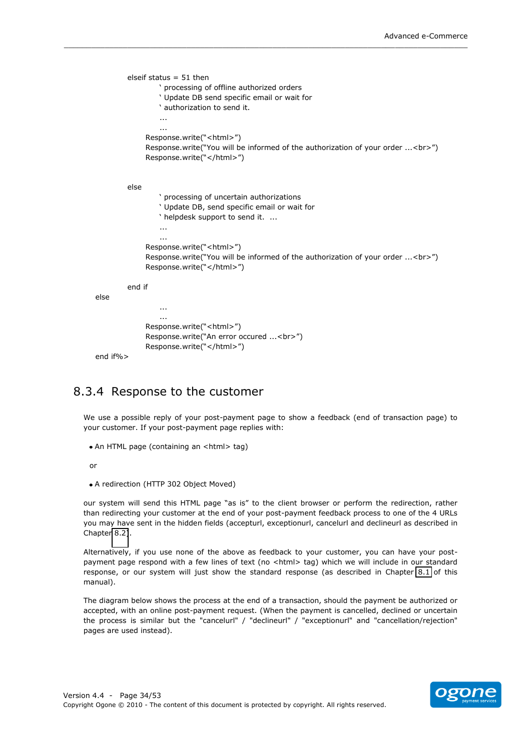```
elseif status = 51 then
                 ' processing of offline authorized orders
                 ' Update DB send specific email or wait for
                 ' authorization to send it.
                  ...
                  ...
              Response.write("<html>")
              Response.write("You will be informed of the authorization of your order ...<br>")
              Response.write("</html>")
         else
                  ' processing of uncertain authorizations
                 ' Update DB, send specific email or wait for
                 ' helpdesk support to send it. ...
                  ...
                  ...
              Response.write("<html>")
              Response.write("You will be informed of the authorization of your order ...<br>")
              Response.write("</html>")
         end if
else
                  ...
                  ...
              Response.write("<html>")
              Response.write("An error occured ...<br>")
              Response.write("</html>")
end if%>
```
\_\_\_\_\_\_\_\_\_\_\_\_\_\_\_\_\_\_\_\_\_\_\_\_\_\_\_\_\_\_\_\_\_\_\_\_\_\_\_\_\_\_\_\_\_\_\_\_\_\_\_\_\_\_\_\_\_\_\_\_\_\_\_\_\_\_\_\_\_\_\_\_\_\_\_\_\_\_\_\_\_\_\_\_\_\_\_\_\_

### <span id="page-33-0"></span>8.3.4 Response to the customer

We use a possible reply of your post-payment page to show a feedback (end of transaction page) to your customer. If your post-payment page replies with:

```
• An HTML page (containing an <html> tag)
```
or

• A redirection (HTTP 302 Object Moved)

our system will send this HTML page "as is" to the client browser or perform the redirection, rather than redirecting your customer at the end of your post-payment feedback process to one of the 4 URLs you may have sent in the hidden fields (accepturl, exceptionurl, cancelurl and declineurl as described in Chapter 8.2).

Alternatively, if you use none of the above as feedback to your customer, you can have your postpayment page respond with a few lines of text (no <html> tag) which we will include in our standard response, or our system will just show the standard response (as described in Chapter [8.1](#page-25-1) of this manual).

The diagram below shows the process at the end of a transaction, should the payment be authorized or accepted, with an online post-payment request. (When the payment is cancelled, declined or uncertain the process is similar but the "cancelurl" / "declineurl" / "exceptionurl" and "cancellation/rejection" pages are used instead).

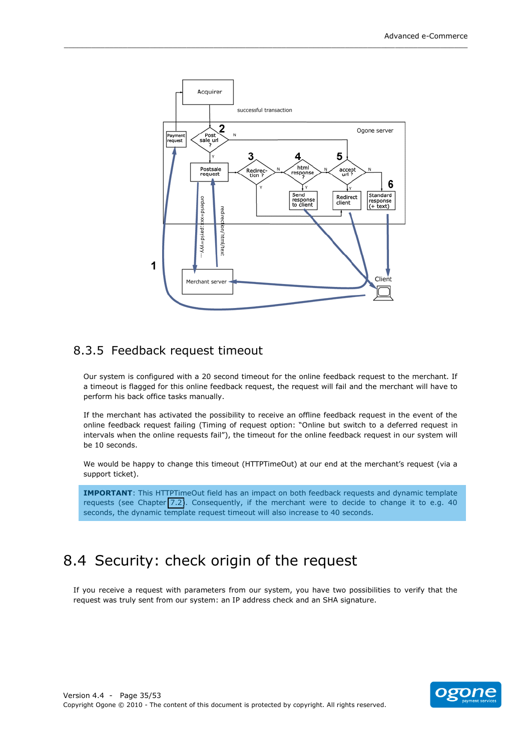

### <span id="page-34-0"></span>8.3.5 Feedback request timeout

Our system is configured with a 20 second timeout for the online feedback request to the merchant. If a timeout is flagged for this online feedback request, the request will fail and the merchant will have to perform his back office tasks manually.

If the merchant has activated the possibility to receive an offline feedback request in the event of the online feedback request failing (Timing of request option: "Online but switch to a deferred request in intervals when the online requests fail"), the timeout for the online feedback request in our system will be 10 seconds.

We would be happy to change this timeout (HTTPTimeOut) at our end at the merchant's request (via a support ticket).

**IMPORTANT:** This HTTPTimeOut field has an impact on both feedback requests and dynamic template requests (see Chapter 7.2). Consequently, if the merchant were to decide to change it to e.g. 40 seconds, the dynamic template request timeout will also increase to 40 seconds.

## <span id="page-34-1"></span>8.4 Security: check origin of the request

If you receive a request with parameters from our system, you have two possibilities to verify that the request was truly sent from our system: an IP address check and an SHA signature.

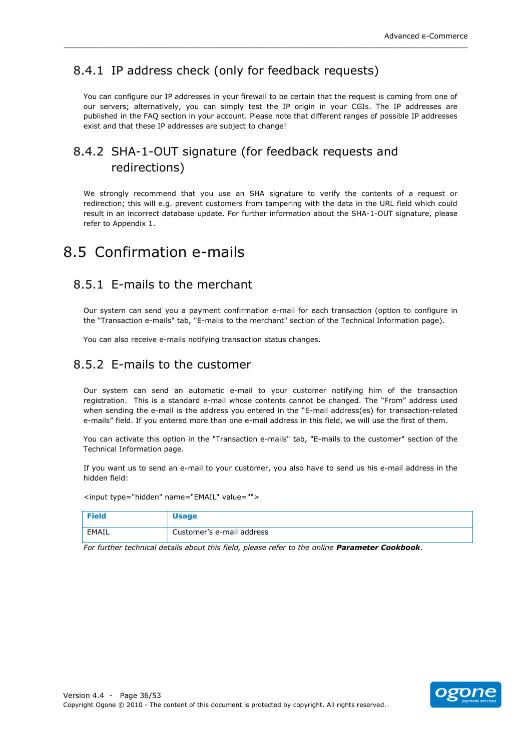### <span id="page-35-0"></span>8.4.1 IP address check (only for feedback requests)

You can configure our IP addresses in your firewall to be certain that the request is coming from one of our servers; alternatively, you can simply test the IP origin in your CGIs. The IP addresses are published in the FAQ section in your account. Please note that different ranges of possible IP addresses exist and that these IP addresses are subject to change!

\_\_\_\_\_\_\_\_\_\_\_\_\_\_\_\_\_\_\_\_\_\_\_\_\_\_\_\_\_\_\_\_\_\_\_\_\_\_\_\_\_\_\_\_\_\_\_\_\_\_\_\_\_\_\_\_\_\_\_\_\_\_\_\_\_\_\_\_\_\_\_\_\_\_\_\_\_\_\_\_\_\_\_\_\_\_\_\_\_

### <span id="page-35-1"></span>8.4.2 SHA-1-OUT signature (for feedback requests and redirections)

We strongly recommend that you use an SHA signature to verify the contents of a request or redirection; this will e.g. prevent customers from tampering with the data in the URL field which could result in an incorrect database update. For further information about the SHA-1-OUT signature, please refer to Appendix 1.

### <span id="page-35-2"></span>8.5 Confirmation e-mails

### <span id="page-35-3"></span>8.5.1 E-mails to the merchant

Our system can send you a payment confirmation e-mail for each transaction (option to configure in the "Transaction e-mails" tab, "E-mails to the merchant" section of the Technical Information page).

You can also receive e-mails notifying transaction status changes.

### <span id="page-35-4"></span>8.5.2 E-mails to the customer

Our system can send an automatic e-mail to your customer notifying him of the transaction registration. This is a standard e-mail whose contents cannot be changed. The "From" address used when sending the e-mail is the address you entered in the "E-mail address(es) for transaction-related e-mails" field. If you entered more than one e-mail address in this field, we will use the first of them.

You can activate this option in the "Transaction e-mails" tab, "E-mails to the customer" section of the Technical Information page.

If you want us to send an e-mail to your customer, you also have to send us his e-mail address in the hidden field:

<input type="hidden" name="EMAIL" value="">

| <b>Field</b> | <b>Usage</b>              |
|--------------|---------------------------|
| EMAIL        | Customer's e-mail address |

For further technical details about this field, please refer to the online **Parameter Cookbook**.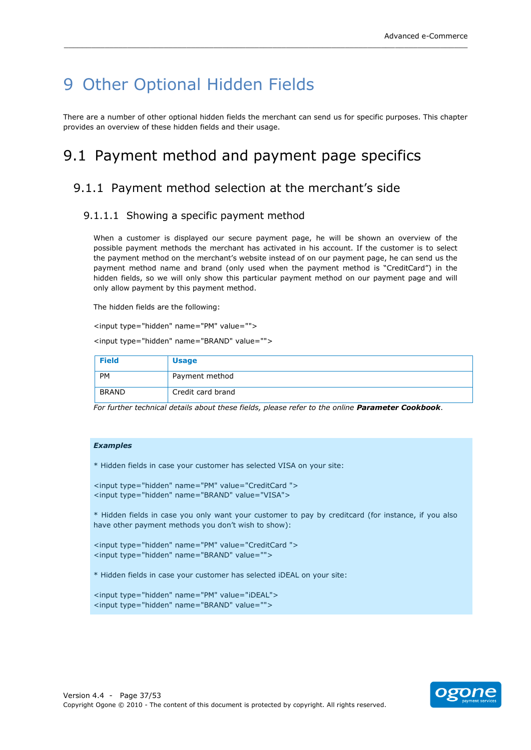## <span id="page-36-0"></span>9 Other Optional Hidden Fields

There are a number of other optional hidden fields the merchant can send us for specific purposes. This chapter provides an overview of these hidden fields and their usage.

\_\_\_\_\_\_\_\_\_\_\_\_\_\_\_\_\_\_\_\_\_\_\_\_\_\_\_\_\_\_\_\_\_\_\_\_\_\_\_\_\_\_\_\_\_\_\_\_\_\_\_\_\_\_\_\_\_\_\_\_\_\_\_\_\_\_\_\_\_\_\_\_\_\_\_\_\_\_\_\_\_\_\_\_\_\_\_\_\_

## <span id="page-36-1"></span>9.1 Payment method and payment page specifics

### <span id="page-36-2"></span>9.1.1 Payment method selection at the merchant's side

#### <span id="page-36-3"></span>9.1.1.1 Showing a specific payment method

When a customer is displayed our secure payment page, he will be shown an overview of the possible payment methods the merchant has activated in his account. If the customer is to select the payment method on the merchant's website instead of on our payment page, he can send us the payment method name and brand (only used when the payment method is "CreditCard") in the hidden fields, so we will only show this particular payment method on our payment page and will only allow payment by this payment method.

The hidden fields are the following:

<input type="hidden" name="PM" value="">

<input type="hidden" name="BRAND" value="">

| <b>Field</b> | <b>Usage</b>      |
|--------------|-------------------|
| <b>PM</b>    | Payment method    |
| <b>BRAND</b> | Credit card brand |

For further technical details about these fields, please refer to the online Parameter Cookbook.

#### Examples

\* Hidden fields in case your customer has selected VISA on your site:

<input type="hidden" name="PM" value="CreditCard "> <input type="hidden" name="BRAND" value="VISA">

\* Hidden fields in case you only want your customer to pay by creditcard (for instance, if you also have other payment methods you don't wish to show):

```
<input type="hidden" name="PM" value="CreditCard ">
<input type="hidden" name="BRAND" value="">
```
\* Hidden fields in case your customer has selected iDEAL on your site:

```
<input type="hidden" name="PM" value="iDEAL">
<input type="hidden" name="BRAND" value="">
```
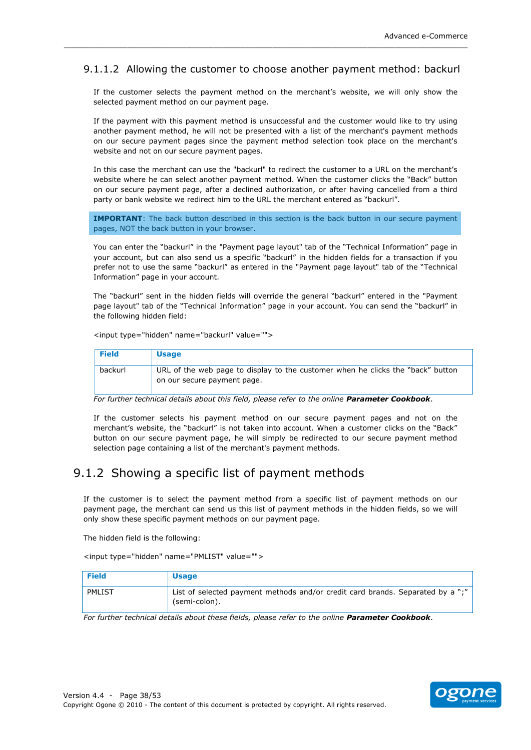### 9.1.1.2 Allowing the customer to choose another payment method: backurl

<span id="page-37-0"></span>\_\_\_\_\_\_\_\_\_\_\_\_\_\_\_\_\_\_\_\_\_\_\_\_\_\_\_\_\_\_\_\_\_\_\_\_\_\_\_\_\_\_\_\_\_\_\_\_\_\_\_\_\_\_\_\_\_\_\_\_\_\_\_\_\_\_\_\_\_\_\_\_\_\_\_\_\_\_\_\_\_\_\_\_\_\_\_\_\_

If the customer selects the payment method on the merchant's website, we will only show the selected payment method on our payment page.

If the payment with this payment method is unsuccessful and the customer would like to try using another payment method, he will not be presented with a list of the merchant's payment methods on our secure payment pages since the payment method selection took place on the merchant's website and not on our secure payment pages.

In this case the merchant can use the "backurl" to redirect the customer to a URL on the merchant's website where he can select another payment method. When the customer clicks the "Back" button on our secure payment page, after a declined authorization, or after having cancelled from a third party or bank website we redirect him to the URL the merchant entered as "backurl".

**IMPORTANT**: The back button described in this section is the back button in our secure payment pages, NOT the back button in your browser.

You can enter the "backurl" in the "Payment page layout" tab of the "Technical Information" page in your account, but can also send us a specific "backurl" in the hidden fields for a transaction if you prefer not to use the same "backurl" as entered in the "Payment page layout" tab of the "Technical Information" page in your account.

The "backurl" sent in the hidden fields will override the general "backurl" entered in the "Payment page layout" tab of the "Technical Information" page in your account. You can send the "backurl" in the following hidden field:

<input type="hidden" name="backurl" value="">

| <b>Field</b> | <b>Usage</b>                                                                                                   |
|--------------|----------------------------------------------------------------------------------------------------------------|
| backurl      | URL of the web page to display to the customer when he clicks the "back" button<br>on our secure payment page. |

For further technical details about this field, please refer to the online Parameter Cookbook.

If the customer selects his payment method on our secure payment pages and not on the merchant's website, the "backurl" is not taken into account. When a customer clicks on the "Back" button on our secure payment page, he will simply be redirected to our secure payment method selection page containing a list of the merchant's payment methods.

### <span id="page-37-1"></span>9.1.2 Showing a specific list of payment methods

If the customer is to select the payment method from a specific list of payment methods on our payment page, the merchant can send us this list of payment methods in the hidden fields, so we will only show these specific payment methods on our payment page.

The hidden field is the following:

<input type="hidden" name="PMLIST" value="">

| <b>Field</b> | <b>Usage</b>                                                                                    |
|--------------|-------------------------------------------------------------------------------------------------|
| PMLIST       | List of selected payment methods and/or credit card brands. Separated by a ";"<br>(semi-colon). |

For further technical details about these fields, please refer to the online Parameter Cookbook.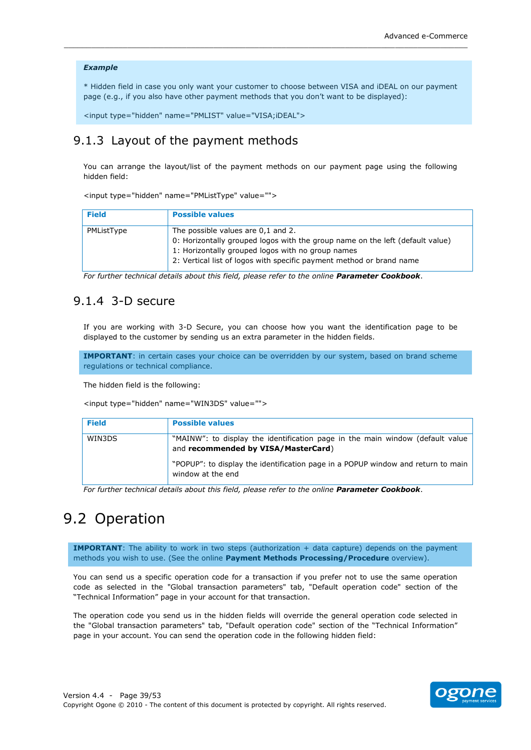#### **Example**

\* Hidden field in case you only want your customer to choose between VISA and iDEAL on our payment page (e.g., if you also have other payment methods that you don't want to be displayed):

<input type="hidden" name="PMLIST" value="VISA;iDEAL">

### <span id="page-38-0"></span>9.1.3 Layout of the payment methods

You can arrange the layout/list of the payment methods on our payment page using the following hidden field:

<input type="hidden" name="PMListType" value="">

| <b>Field</b> | <b>Possible values</b>                                                                                                                                                                                                                           |
|--------------|--------------------------------------------------------------------------------------------------------------------------------------------------------------------------------------------------------------------------------------------------|
| PMListType   | The possible values are 0,1 and 2.<br>0: Horizontally grouped logos with the group name on the left (default value)<br>1: Horizontally grouped logos with no group names<br>2: Vertical list of logos with specific payment method or brand name |

For further technical details about this field, please refer to the online Parameter Cookbook.

### <span id="page-38-1"></span>9.1.4 3-D secure

If you are working with 3-D Secure, you can choose how you want the identification page to be displayed to the customer by sending us an extra parameter in the hidden fields.

**IMPORTANT:** in certain cases your choice can be overridden by our system, based on brand scheme regulations or technical compliance.

The hidden field is the following:

<input type="hidden" name="WIN3DS" value="">

| <b>Field</b> | <b>Possible values</b>                                                                                               |
|--------------|----------------------------------------------------------------------------------------------------------------------|
| WIN3DS       | "MAINW": to display the identification page in the main window (default value<br>and recommended by VISA/MasterCard) |
|              | "POPUP": to display the identification page in a POPUP window and return to main<br>window at the end                |

<span id="page-38-2"></span>For further technical details about this field, please refer to the online Parameter Cookbook.

## 9.2 Operation

IMPORTANT: The ability to work in two steps (authorization + data capture) depends on the payment methods you wish to use. (See the online Payment Methods Processing/Procedure overview).

You can send us a specific operation code for a transaction if you prefer not to use the same operation code as selected in the "Global transaction parameters" tab, "Default operation code" section of the "Technical Information" page in your account for that transaction.

The operation code you send us in the hidden fields will override the general operation code selected in the "Global transaction parameters" tab, "Default operation code" section of the "Technical Information" page in your account. You can send the operation code in the following hidden field:

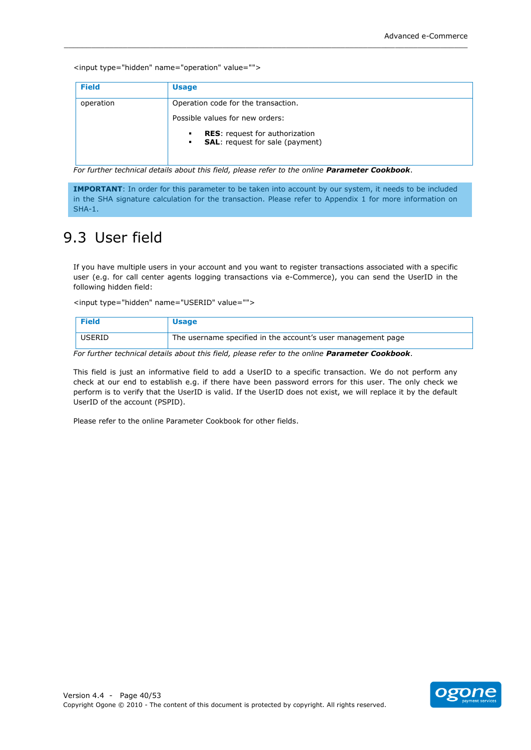<input type="hidden" name="operation" value="">

| <b>Field</b> | <b>Usage</b>                                                                                           |
|--------------|--------------------------------------------------------------------------------------------------------|
| operation    | Operation code for the transaction.                                                                    |
|              | Possible values for new orders:                                                                        |
|              | <b>RES:</b> request for authorization<br>٠<br><b>SAL:</b> request for sale (payment)<br>$\blacksquare$ |

For further technical details about this field, please refer to the online Parameter Cookbook.

IMPORTANT: In order for this parameter to be taken into account by our system, it needs to be included in the SHA signature calculation for the transaction. Please refer to Appendix 1 for more information on  $SHA-1.$ 

## <span id="page-39-0"></span>9.3 User field

If you have multiple users in your account and you want to register transactions associated with a specific user (e.g. for call center agents logging transactions via e-Commerce), you can send the UserID in the following hidden field:

<input type="hidden" name="USERID" value="">

| <b>Field</b> | <b>Usage</b>                                                 |
|--------------|--------------------------------------------------------------|
| USERID       | The username specified in the account's user management page |

For further technical details about this field, please refer to the online Parameter Cookbook.

This field is just an informative field to add a UserID to a specific transaction. We do not perform any check at our end to establish e.g. if there have been password errors for this user. The only check we perform is to verify that the UserID is valid. If the UserID does not exist, we will replace it by the default UserID of the account (PSPID).

Please refer to the online Parameter Cookbook for other fields.

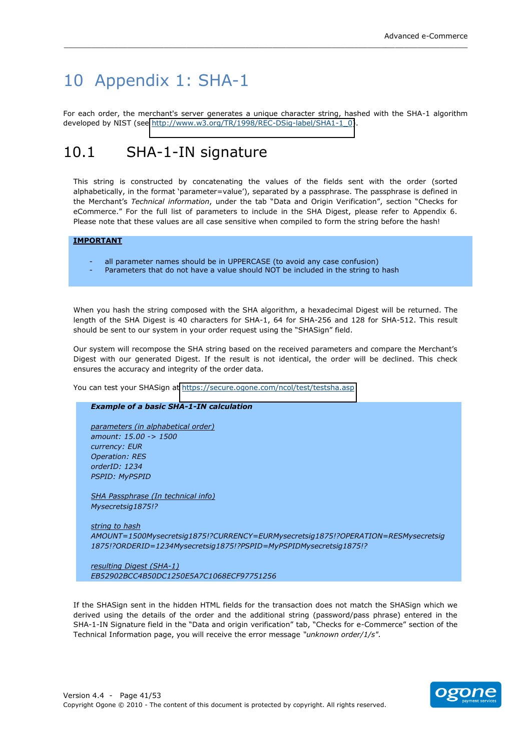## <span id="page-40-0"></span>10 Appendix 1: SHA-1

For each order, the merchant's server generates a unique character string, hashed with the SHA-1 algorithm developed by NIST (see http://www.w3.org/TR/1998/REC-DSig-label/SHA1-1 0).

#### <span id="page-40-1"></span> $10<sub>1</sub>$ SHA-1-IN signature

This string is constructed by concatenating the values of the fields sent with the order (sorted alphabetically, in the format 'parameter=value'), separated by a passphrase. The passphrase is defined in the Merchant's Technical information, under the tab "Data and Origin Verification", section "Checks for eCommerce." For the full list of parameters to include in the SHA Digest, please refer to Appendix 6. Please note that these values are all case sensitive when compiled to form the string before the hash!

#### **IMPORTANT**

- all parameter names should be in UPPERCASE (to avoid any case confusion)
- Parameters that do not have a value should NOT be included in the string to hash

When you hash the string composed with the SHA algorithm, a hexadecimal Digest will be returned. The length of the SHA Digest is 40 characters for SHA-1, 64 for SHA-256 and 128 for SHA-512. This result should be sent to our system in your order request using the "SHASign" field.

Our system will recompose the SHA string based on the received parameters and compare the Merchant's Digest with our generated Digest. If the result is not identical, the order will be declined. This check ensures the accuracy and integrity of the order data.

You can test your SHASign at https://secure.ogone.com/ncol/test/testsha.asp

#### **Example of a basic SHA-1-IN calculation**

parameters (in alphabetical order) amount: 15.00 -> 1500 currency: EUR **Operation: RES** orderID: 1234 **PSPID: MyPSPID** 

SHA Passphrase (In technical info) Mysecretsig1875!?

string to hash AMOUNT=1500Mysecretsig1875!?CURRENCY=EURMysecretsig1875!?OPERATION=RESMysecretsig 1875!?ORDERID=1234Mysecretsig1875!?PSPID=MyPSPIDMysecretsig1875!?

resulting Digest (SHA-1) EB52902BCC4B50DC1250E5A7C1068ECF97751256

If the SHASign sent in the hidden HTML fields for the transaction does not match the SHASign which we derived using the details of the order and the additional string (password/pass phrase) entered in the SHA-1-IN Signature field in the "Data and origin verification" tab, "Checks for e-Commerce" section of the Technical Information page, you will receive the error message "unknown order/1/s".

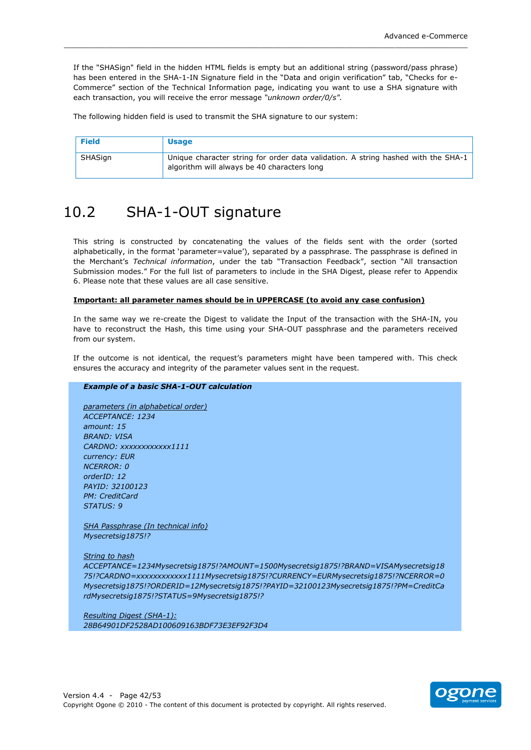If the "SHASian" field in the hidden HTML fields is empty but an additional string (password/pass phrase) has been entered in the SHA-1-IN Signature field in the "Data and origin verification" tab. "Checks for e-Commerce" section of the Technical Information page, indicating you want to use a SHA signature with each transaction, you will receive the error message "unknown order/0/s".

The following hidden field is used to transmit the SHA signature to our system:

| Field   | <b>Usage</b>                                                                                                                     |
|---------|----------------------------------------------------------------------------------------------------------------------------------|
| SHASign | Unique character string for order data validation. A string hashed with the SHA-1<br>algorithm will always be 40 characters long |

#### <span id="page-41-0"></span> $10.2$ SHA-1-OUT signature

This string is constructed by concatenating the values of the fields sent with the order (sorted alphabetically, in the format 'parameter=value'), separated by a passphrase. The passphrase is defined in the Merchant's Technical information, under the tab "Transaction Feedback", section "All transaction Submission modes." For the full list of parameters to include in the SHA Digest, please refer to Appendix 6. Please note that these values are all case sensitive

#### Important: all parameter names should be in UPPERCASE (to avoid any case confusion)

In the same way we re-create the Digest to validate the Input of the transaction with the SHA-IN, you have to reconstruct the Hash, this time using your SHA-OUT passphrase and the parameters received from our system.

If the outcome is not identical, the request's parameters might have been tampered with. This check ensures the accuracy and integrity of the parameter values sent in the request.

#### **Example of a basic SHA-1-OUT calculation**

parameters (in alphabetical order) ACCEPTANCE: 1234 amount: 15 **BRAND: VISA** CARDNO: xxxxxxxxxxx1111 currency: EUR **NCERROR: 0**  $orderID: 12$ PAYID: 32100123 **PM: CreditCard** STATUS: 9

SHA Passphrase (In technical info) Mysecretsig1875!?

**String to hash** 

ACCEPTANCE=1234Mysecretsig1875!?AMOUNT=1500Mysecretsig1875!?BRAND=VISAMysecretsig18 75!?CARDNO=xxxxxxxxxxx1111Mysecretsig1875!?CURRENCY=EURMysecretsig1875!?NCERROR=0 Mysecretsig1875!?ORDERID=12Mysecretsig1875!?PAYID=32100123Mysecretsig1875!?PM=CreditCa rdMysecretsig1875!?STATUS=9Mysecretsig1875!?

Resulting Digest (SHA-1): 28B64901DF2528AD100609163BDF73E3EF92F3D4

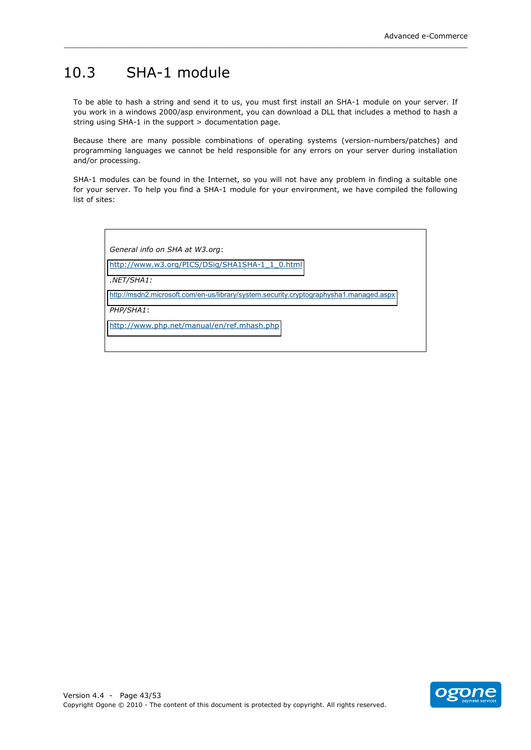### <span id="page-42-0"></span>10.3 SHA-1 module

To be able to hash a string and send it to us, you must first install an SHA-1 module on your server. If you work in a windows 2000/asp environment, you can download a DLL that includes a method to hash a string using  $SHA-1$  in the support  $>$  documentation page.

\_\_\_\_\_\_\_\_\_\_\_\_\_\_\_\_\_\_\_\_\_\_\_\_\_\_\_\_\_\_\_\_\_\_\_\_\_\_\_\_\_\_\_\_\_\_\_\_\_\_\_\_\_\_\_\_\_\_\_\_\_\_\_\_\_\_\_\_\_\_\_\_\_\_\_\_\_\_\_\_\_\_\_\_\_\_\_\_\_

Because there are many possible combinations of operating systems (version-numbers/patches) and programming languages we cannot be held responsible for any errors on your server during installation and/or processing.

SHA-1 modules can be found in the Internet, so you will not have any problem in finding a suitable one for your server. To help you find a SHA-1 module for your environment, we have compiled the following list of sites:

General info on SHA at W3.org:

http://www.w3.org/PICS/DSig/SHA1SHA-1\_1\_0.html

*.NET/SHA1:*

<http://msdn2.microsoft.com/en-us/library/system.security.cryptographysha1.managed.aspx>

*PHP/SHA1*:

<http://www.php.net/manual/en/ref.mhash.php>

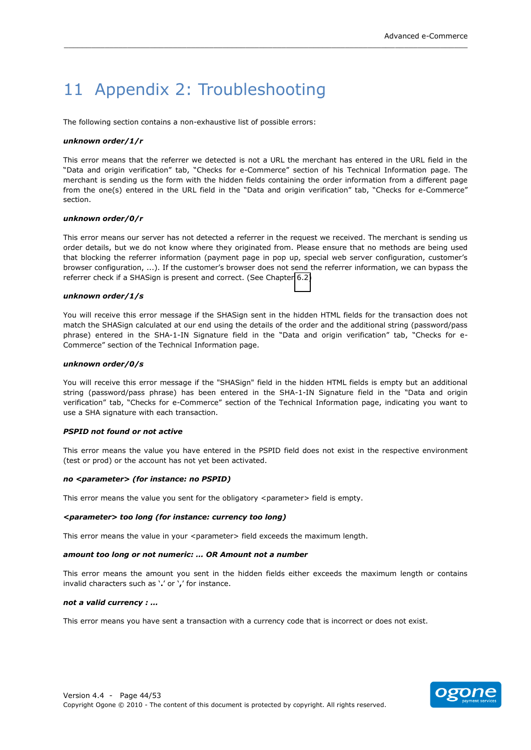## <span id="page-43-0"></span>11 Appendix 2: Troubleshooting

The following section contains a non-exhaustive list of possible errors:

#### *unknown'order/1/r*

This error means that the referrer we detected is not a URL the merchant has entered in the URL field in the "Data and origin verification" tab, "Checks for e-Commerce" section of his Technical Information page. The merchant is sending us the form with the hidden fields containing the order information from a different page from the one(s) entered in the URL field in the "Data and origin verification" tab, "Checks for e-Commerce" section.

\_\_\_\_\_\_\_\_\_\_\_\_\_\_\_\_\_\_\_\_\_\_\_\_\_\_\_\_\_\_\_\_\_\_\_\_\_\_\_\_\_\_\_\_\_\_\_\_\_\_\_\_\_\_\_\_\_\_\_\_\_\_\_\_\_\_\_\_\_\_\_\_\_\_\_\_\_\_\_\_\_\_\_\_\_\_\_\_\_

#### *unknown'order/0/r*

This error means our server has not detected a referrer in the request we received. The merchant is sending us order details, but we do not know where they originated from. Please ensure that no methods are being used that blocking the referrer information (payment page in pop up, special web server configuration, customer's browser configuration, ...). If the customer's browser does not send the referrer information, we can bypass the referrer check if a SHASign is present and correct. (See Chapter 6.2)

#### *unknown'order/1/s*

You will receive this error message if the SHASign sent in the hidden HTML fields for the transaction does not match the SHASign calculated at our end using the details of the order and the additional string (password/pass phrase) entered in the SHA-1-IN Signature field in the "Data and origin verification" tab, "Checks for e-Commerce" section of the Technical Information page.

#### *unknown'order/0/s*

You will receive this error message if the "SHASign" field in the hidden HTML fields is empty but an additional string (password/pass phrase) has been entered in the SHA-1-IN Signature field in the "Data and origin verification" tab, "Checks for e-Commerce" section of the Technical Information page, indicating you want to use a SHA signature with each transaction.

#### *PSPID'not'found'or'not'active*

This error means the value you have entered in the PSPID field does not exist in the respective environment (test or prod) or the account has not yet been activated.

#### *no'<parameter>'(for'instance:'no'PSPID)*

This error means the value you sent for the obligatory <parameter> field is empty.

#### *<parameter>'too'long'(for'instance:'currency'too'long)*

This error means the value in your <parameter> field exceeds the maximum length.

#### *amount too long or not numeric: ... OR Amount not a number*

This error means the amount you sent in the hidden fields either exceeds the maximum length or contains invalid characters such as '.' or ',' for instance.

#### not a valid currency : ...

This error means you have sent a transaction with a currency code that is incorrect or does not exist.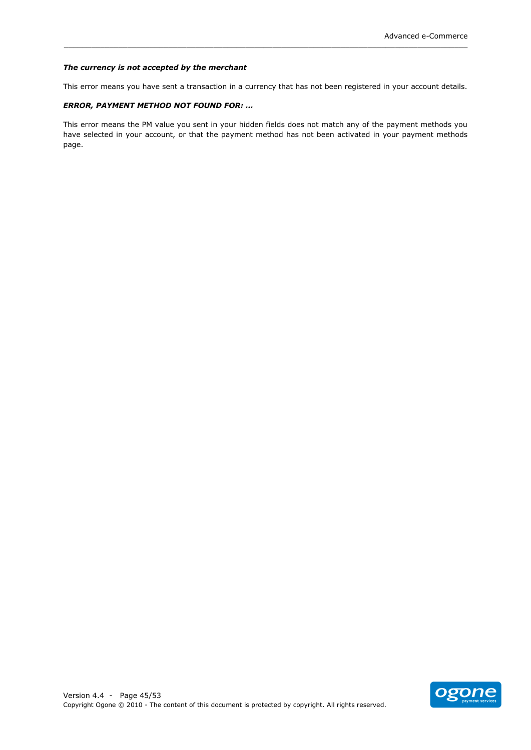#### The currency is not accepted by the merchant

This error means you have sent a transaction in a currency that has not been registered in your account details.

#### **ERROR, PAYMENT METHOD NOT FOUND FOR: ...**

This error means the PM value you sent in your hidden fields does not match any of the payment methods you have selected in your account, or that the payment method has not been activated in your payment methods page.

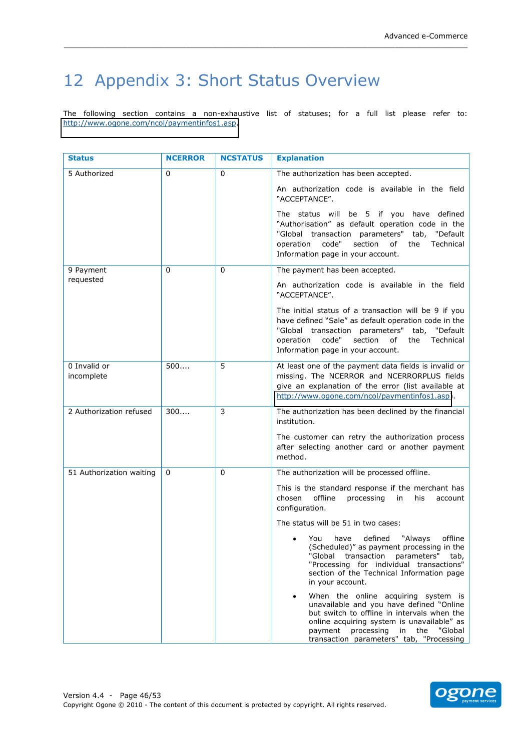## <span id="page-45-0"></span>12 Appendix 3: Short Status Overview

The following section contains a non-exhaustive list of statuses; for a full list please refer to: http://www.ogone.com/ncol/paymentinfos1.asp.

| <b>Status</b>              | <b>NCERROR</b> | <b>NCSTATUS</b> | <b>Explanation</b>                                                                                                                                                                                                                                                            |
|----------------------------|----------------|-----------------|-------------------------------------------------------------------------------------------------------------------------------------------------------------------------------------------------------------------------------------------------------------------------------|
| 5 Authorized               | 0              | 0               | The authorization has been accepted.                                                                                                                                                                                                                                          |
|                            |                |                 | An authorization code is available in the field<br>"ACCEPTANCE".                                                                                                                                                                                                              |
|                            |                |                 | The status will be 5 if you have defined<br>"Authorisation" as default operation code in the<br>"Global transaction parameters" tab, "Default<br>code"<br>section<br>operation<br>of<br>the<br>Technical<br>Information page in your account.                                 |
| 9 Payment                  | 0              | 0               | The payment has been accepted.                                                                                                                                                                                                                                                |
| requested                  |                |                 | An authorization code is available in the field<br>"ACCEPTANCE".                                                                                                                                                                                                              |
|                            |                |                 | The initial status of a transaction will be 9 if you<br>have defined "Sale" as default operation code in the<br>"Global transaction parameters" tab, "Default<br>code"<br>section<br>operation<br>of<br>Technical<br>the<br>Information page in your account.                 |
| 0 Invalid or<br>incomplete | 500            | 5               | At least one of the payment data fields is invalid or<br>missing. The NCERROR and NCERRORPLUS fields<br>give an explanation of the error (list available at<br>http://www.ogone.com/ncol/paymentinfos1.asp).                                                                  |
| 2 Authorization refused    | 300            | 3               | The authorization has been declined by the financial<br>institution.                                                                                                                                                                                                          |
|                            |                |                 | The customer can retry the authorization process<br>after selecting another card or another payment<br>method.                                                                                                                                                                |
| 51 Authorization waiting   | $\Omega$       | 0               | The authorization will be processed offline.                                                                                                                                                                                                                                  |
|                            |                |                 | This is the standard response if the merchant has<br>chosen<br>offline<br>processing<br>in<br>his<br>account<br>configuration.                                                                                                                                                |
|                            |                |                 | The status will be 51 in two cases:                                                                                                                                                                                                                                           |
|                            |                |                 | defined "Always<br>offline<br>You<br>have<br>(Scheduled)" as payment processing in the<br>"Global transaction parameters" tab,<br>"Processing for individual transactions"<br>section of the Technical Information page<br>in your account.                                   |
|                            |                |                 | When the online acquiring system is<br>$\bullet$<br>unavailable and you have defined "Online<br>but switch to offline in intervals when the<br>online acquiring system is unavailable" as<br>payment processing in the<br>"Global<br>transaction parameters" tab, "Processing |

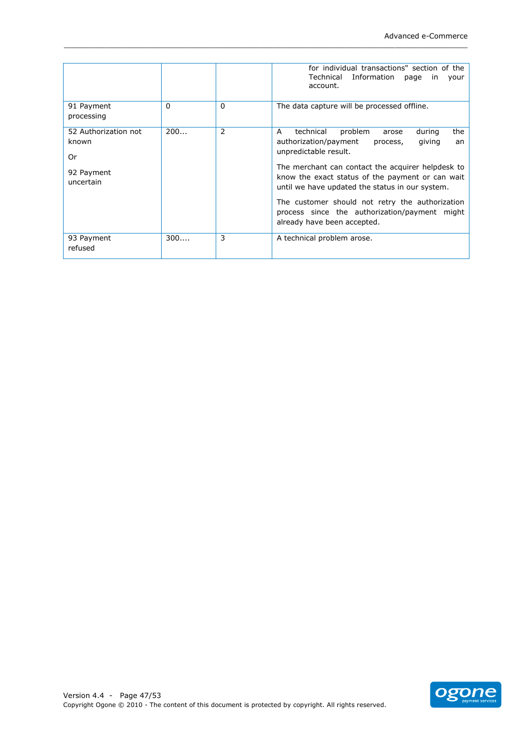|                                                                |          |             | for individual transactions" section of the<br>Technical Information<br>page<br>in<br>your<br>account.                                                                                                                                                                                                                                                                                                                           |
|----------------------------------------------------------------|----------|-------------|----------------------------------------------------------------------------------------------------------------------------------------------------------------------------------------------------------------------------------------------------------------------------------------------------------------------------------------------------------------------------------------------------------------------------------|
| 91 Payment<br>processing                                       | $\Omega$ | $\mathbf 0$ | The data capture will be processed offline.                                                                                                                                                                                                                                                                                                                                                                                      |
| 52 Authorization not<br>known<br>Or<br>92 Payment<br>uncertain | 200      | 2           | technical<br>problem<br>the<br>A<br>during<br>arose<br>authorization/payment<br>giving<br>process,<br>an<br>unpredictable result.<br>The merchant can contact the acquirer helpdesk to<br>know the exact status of the payment or can wait<br>until we have updated the status in our system.<br>The customer should not retry the authorization<br>process since the authorization/payment might<br>already have been accepted. |
| 93 Payment<br>refused                                          | 300      | 3           | A technical problem arose.                                                                                                                                                                                                                                                                                                                                                                                                       |

\_\_\_\_\_\_\_\_\_\_\_\_\_\_\_\_\_\_\_\_\_\_\_\_\_\_\_\_\_\_\_\_\_\_\_\_\_\_\_\_\_\_\_\_\_\_\_\_\_\_\_\_\_\_\_\_\_\_\_\_\_\_\_\_\_\_\_\_\_\_\_\_\_\_\_\_\_\_\_\_\_\_\_\_\_\_\_\_\_

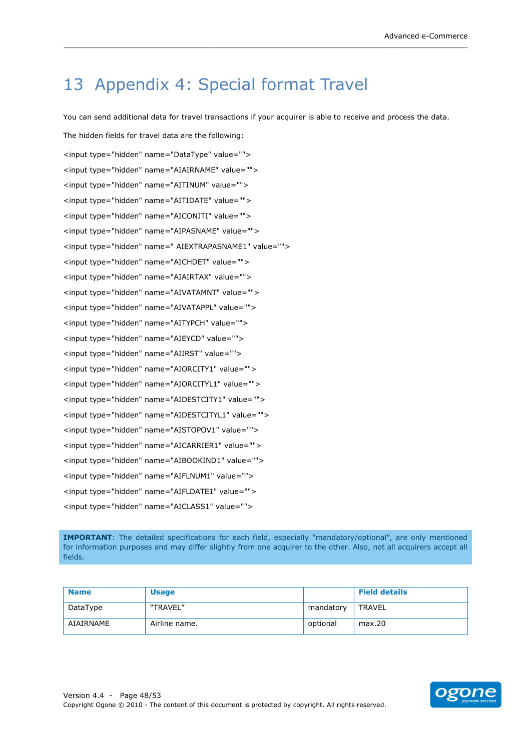## <span id="page-47-0"></span>13 Appendix 4: Special format Travel

You can send additional data for travel transactions if your acquirer is able to receive and process the data.

\_\_\_\_\_\_\_\_\_\_\_\_\_\_\_\_\_\_\_\_\_\_\_\_\_\_\_\_\_\_\_\_\_\_\_\_\_\_\_\_\_\_\_\_\_\_\_\_\_\_\_\_\_\_\_\_\_\_\_\_\_\_\_\_\_\_\_\_\_\_\_\_\_\_\_\_\_\_\_\_\_\_\_\_\_\_\_\_\_

The hidden fields for travel data are the following: <input type="hidden" name="DataType" value=""> <input type="hidden" name="AIAIRNAME" value=""> <input type="hidden" name="AITINUM" value=""> <input type="hidden" name="AITIDATE" value=""> <input type="hidden" name="AICONJTI" value=""> <input type="hidden" name="AIPASNAME" value=""> <input type="hidden" name=" AIEXTRAPASNAME1" value=""> <input type="hidden" name="AICHDET" value=""> <input type="hidden" name="AIAIRTAX" value=""> <input type="hidden" name="AIVATAMNT" value=""> <input type="hidden" name="AIVATAPPL" value=""> <input type="hidden" name="AITYPCH" value=""> <input type="hidden" name="AIEYCD" value=""> <input type="hidden" name="AIIRST" value=""> <input type="hidden" name="AIORCITY1" value=""> <input type="hidden" name="AIORCITYL1" value=""> <input type="hidden" name="AIDESTCITY1" value=""> <input type="hidden" name="AIDESTCITYL1" value=""> <input type="hidden" name="AISTOPOV1" value=""> <input type="hidden" name="AICARRIER1" value=""> <input type="hidden" name="AIBOOKIND1" value=""> <input type="hidden" name="AIFLNUM1" value=""> <input type="hidden" name="AIFLDATE1" value=""> <input type="hidden" name="AICLASS1" value="">

**IMPORTANT**: The detailed specifications for each field, especially "mandatory/optional", are only mentioned for information purposes and may differ slightly from one acquirer to the other. Also, not all acquirers accept all fields.

| <b>Name</b> | <b>Usage</b>  |           | <b>Field details</b> |
|-------------|---------------|-----------|----------------------|
| DataType    | "TRAVEL"      | mandatory | TRAVEL               |
| AIAIRNAME   | Airline name. | optional  | max.20               |

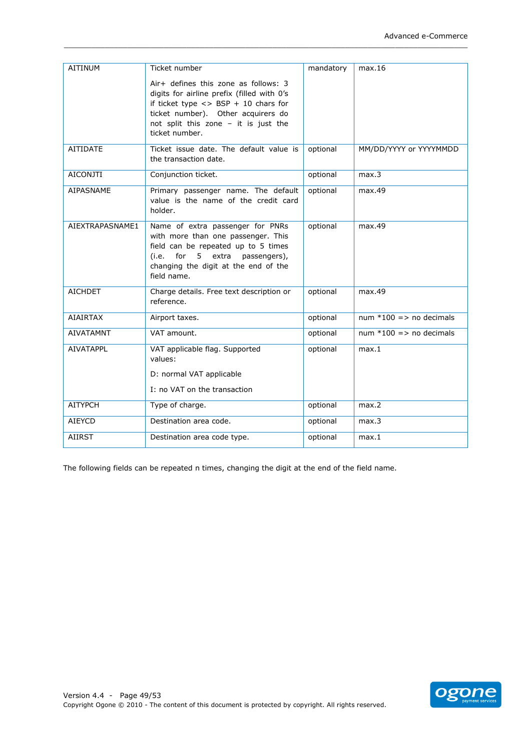| <b>AITINUM</b>   | Ticket number                                                                                                                                                                                                                       | mandatory | max.16                             |
|------------------|-------------------------------------------------------------------------------------------------------------------------------------------------------------------------------------------------------------------------------------|-----------|------------------------------------|
|                  | Air+ defines this zone as follows: 3<br>digits for airline prefix (filled with 0's<br>if ticket type $\langle$ > BSP + 10 chars for<br>ticket number). Other acquirers do<br>not split this zone - it is just the<br>ticket number. |           |                                    |
| <b>AITIDATE</b>  | Ticket issue date. The default value is<br>the transaction date.                                                                                                                                                                    | optional  | MM/DD/YYYY or YYYYMMDD             |
| <b>AICONJTI</b>  | Conjunction ticket.                                                                                                                                                                                                                 | optional  | max.3                              |
| AIPASNAME        | Primary passenger name. The default<br>value is the name of the credit card<br>holder.                                                                                                                                              | optional  | max.49                             |
| AIEXTRAPASNAME1  | Name of extra passenger for PNRs<br>with more than one passenger. This<br>field can be repeated up to 5 times<br>for 5 extra<br>passengers),<br>(i.e.<br>changing the digit at the end of the<br>field name.                        | optional  | max.49                             |
| <b>AICHDET</b>   | Charge details. Free text description or<br>reference.                                                                                                                                                                              | optional  | max.49                             |
| <b>AIAIRTAX</b>  | Airport taxes.                                                                                                                                                                                                                      | optional  | num $*100$ => no decimals          |
| <b>AIVATAMNT</b> | VAT amount.                                                                                                                                                                                                                         | optional  | num $*100 \Rightarrow$ no decimals |
| <b>AIVATAPPL</b> | VAT applicable flag. Supported<br>values:                                                                                                                                                                                           | optional  | max.1                              |
|                  | D: normal VAT applicable                                                                                                                                                                                                            |           |                                    |
|                  | I: no VAT on the transaction                                                                                                                                                                                                        |           |                                    |
| <b>AITYPCH</b>   | Type of charge.                                                                                                                                                                                                                     | optional  | max.2                              |
| <b>AIEYCD</b>    | Destination area code.                                                                                                                                                                                                              | optional  | max.3                              |
| <b>AIIRST</b>    | Destination area code type.                                                                                                                                                                                                         | optional  | max.1                              |

The following fields can be repeated n times, changing the digit at the end of the field name.

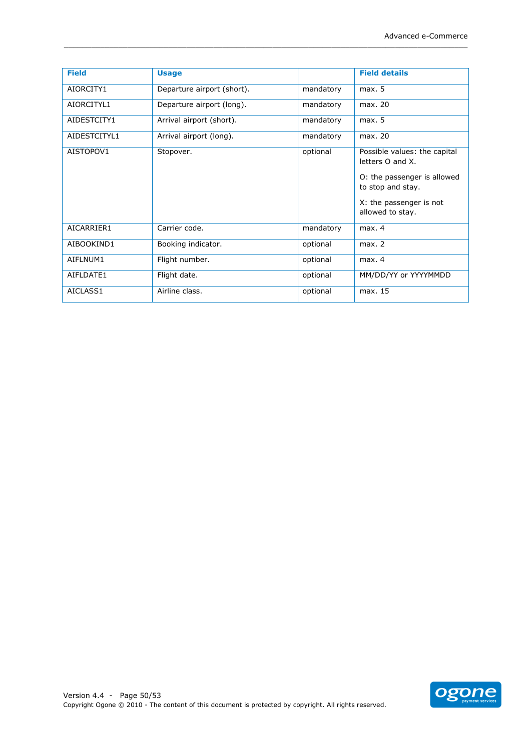| <b>Field</b> | <b>Usage</b>               |           | <b>Field details</b>                             |
|--------------|----------------------------|-----------|--------------------------------------------------|
| AIORCITY1    | Departure airport (short). | mandatory | max. 5                                           |
| AIORCITYL1   | Departure airport (long).  | mandatory | max. 20                                          |
| AIDESTCITY1  | Arrival airport (short).   | mandatory | max. 5                                           |
| AIDESTCITYL1 | Arrival airport (long).    | mandatory | max. 20                                          |
| AISTOPOV1    | Stopover.                  | optional  | Possible values: the capital<br>letters O and X. |
|              |                            |           | O: the passenger is allowed<br>to stop and stay. |
|              |                            |           | X: the passenger is not<br>allowed to stay.      |
| AICARRIER1   | Carrier code.              | mandatory | max. 4                                           |
| AIBOOKIND1   | Booking indicator.         | optional  | max. 2                                           |
| AIFLNUM1     | Flight number.             | optional  | max. 4                                           |
| AIFLDATE1    | Flight date.               | optional  | MM/DD/YY or YYYYMMDD                             |
| AICLASS1     | Airline class.             | optional  | max. 15                                          |

\_\_\_\_\_\_\_\_\_\_\_\_\_\_\_\_\_\_\_\_\_\_\_\_\_\_\_\_\_\_\_\_\_\_\_\_\_\_\_\_\_\_\_\_\_\_\_\_\_\_\_\_\_\_\_\_\_\_\_\_\_\_\_\_\_\_\_\_\_\_\_\_\_\_\_\_\_\_\_\_\_\_\_\_\_\_\_\_\_

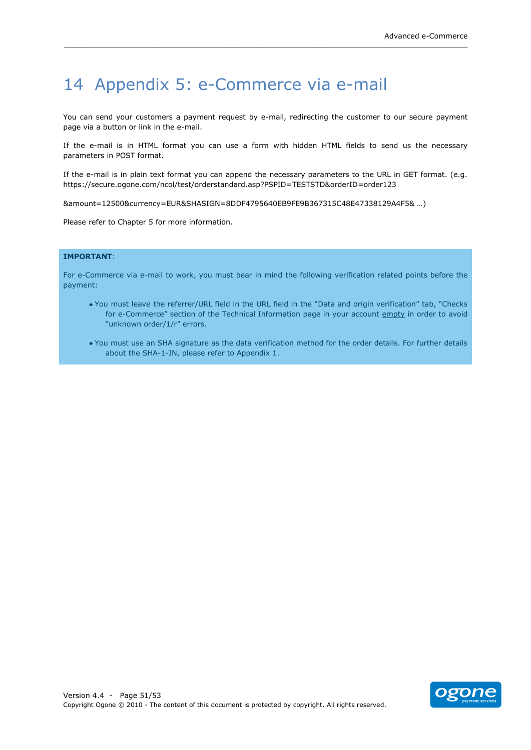## <span id="page-50-0"></span>14 Appendix 5: e-Commerce via e-mail

You can send your customers a payment request by e-mail, redirecting the customer to our secure payment page via a button or link in the e-mail.

If the e-mail is in HTML format you can use a form with hidden HTML fields to send us the necessary parameters in POST format.

If the e-mail is in plain text format you can append the necessary parameters to the URL in GET format. (e.g. https://secure.ogone.com/ncol/test/orderstandard.asp?PSPID=TESTSTD&orderID=order123

&amount=12500&currency=EUR&SHASIGN=8DDF4795640EB9FE9B367315C48E47338129A4F5& ...)

Please refer to Chapter 5 for more information.

#### **IMPORTANT:**

For e-Commerce via e-mail to work, you must bear in mind the following verification related points before the payment:

- . You must leave the referrer/URL field in the URL field in the "Data and origin verification" tab, "Checks for e-Commerce" section of the Technical Information page in your account empty in order to avoid "unknown order/1/r" errors.
- . You must use an SHA signature as the data verification method for the order details. For further details about the SHA-1-IN, please refer to Appendix 1.

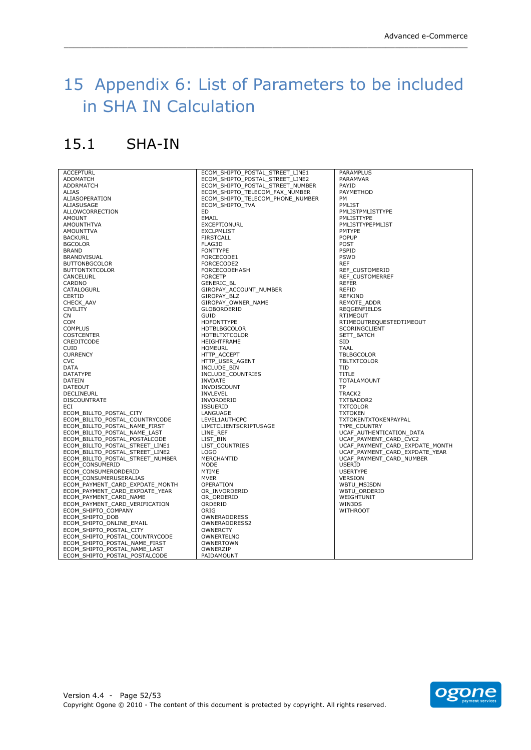## <span id="page-51-0"></span>15 Appendix 6: List of Parameters to be included in!SHA!IN!Calculation

\_\_\_\_\_\_\_\_\_\_\_\_\_\_\_\_\_\_\_\_\_\_\_\_\_\_\_\_\_\_\_\_\_\_\_\_\_\_\_\_\_\_\_\_\_\_\_\_\_\_\_\_\_\_\_\_\_\_\_\_\_\_\_\_\_\_\_\_\_\_\_\_\_\_\_\_\_\_\_\_\_\_\_\_\_\_\_\_\_

## <span id="page-51-1"></span> $15.1$  SHA-IN

**ACCEPTURI ADDMATCH** ADDRMATCH ALIAS ALIASOPERATION ALIASUSAGE ALLOWCORRECTION AMOUNT **AMOUNTHTVA** AMOUNTTVA **BACKURL** BGCOLOR BRAND **BRANDVISUAL** BUTTONBGCOLOR BUTTONTXTCOLOR **CANCELURL** CARDNO **CATALOGURL CERTID** CHECK\_AAV CIVILITY CN **COM** COMPLUS COSTCENTER CREDITCODE CUID **CURRENCY** CVC DATA DATATYPE DATEIN DATEOUT DECLINEURL DISCOUNTRATE **ECI** ECOM\_BILLTO\_POSTAL\_CITY ECOM\_BILLTO\_POSTAL\_COUNTRYCODE<br>ECOM\_BILLTO\_POSTAL\_NAME\_FIRST<br>ECOM\_BILLTO\_POSTAL\_NAME\_LAST<br>ECOM\_BILLTO\_POSTAL\_POSTALCODE<br>ECOM\_BILLTO\_POSTAL\_STREET\_LINE1 ECOM\_BILLTO\_POSTAL\_STREET\_LINE2 ECOM\_BILLTO\_POSTAL\_STREET\_NUMBER ECOM\_CONSUMERID ECOM\_CONSUMERORDERID ECOM\_CONSUMERUSERALIAS ECOM\_PAYMENT\_CARD\_EXPDATE\_MONTH<br>ECOM\_PAYMENT\_CARD\_EXPDATE\_YEAR<br>ECOM\_PAYMENT\_CARD\_VEME<br>ECOM\_PAYMENT\_CARD\_VERIFICATION<br>ECOM\_SHIPTO\_COMPANY ECOM\_SHIPTO\_DOB ECOM\_SHIPTO\_ONLINE\_EMAIL ECOM\_SHIPTO\_POSTAL\_CITY ECOM\_SHIPTO\_POSTAL\_COUNTRYCODE ECOM\_SHIPTO\_POSTAL\_NAME\_FIRST ECOM\_SHIPTO\_POSTAL\_NAME\_LAST ECOM\_SHIPTO\_POSTAL\_POSTALCODE

ECOM\_SHIPTO\_POSTAL\_STREET\_LINE1 ECOM\_SHIPTO\_POSTAL\_STREET\_LINE2 ECOM\_SHIPTO\_POSTAL\_STREET\_NUMBER ECOM\_SHIPTO\_TELECOM\_FAX\_NUMBER ECOM\_SHIPTO\_TELECOM\_PHONE\_NUMBER ECOM\_SHIPTO\_TVA ED EMAIL EXCEPTIONURL EXCLPMLIST **FIRSTCALL** FLAG3D FONTTYPE FORCECODE1 FORCECODE2 FORCECODEHASH **FORCETP** GENERIC\_BL GIROPAY\_ACCOUNT\_NUMBER GIROPAY\_BLZ GIROPAY\_OWNER\_NAME GLOBORDERID GUID HDFONTTYPE HDTBLBGCOLOR HDTBLTXTCOLOR HEIGHTFRAME HOMEURL HTTP\_ACCEPT HTTP\_USER\_AGENT INCLUDE\_BIN INCLUDE\_COUNTRIES INVDATE INVDISCOUNT **INVLEVEL** INVORDERID ISSUERID **LANGUAGE** LEVEL1AUTHCPC LIMITCLIENTSCRIPTUSAGE LINE\_REF LIST\_BIN LIST\_DIN LOGO MERCHANTID MODE MTIME MVER OPERATION OR\_INVORDERID OR\_ORDERID **ORDERID** ORIG **OWNERADDRESS** OWNERADDRESS2 **OWNERCTY** OWNERTEL NO OWNERTOWN **OWNERZIP** PAIDAMOUNT

PARAMPLUS PARAMVAR PAYID **PAYMETHOD** PM ...<br>PMLIST PMLISTPMLISTTYPE PMLISTTYPE PMLISTTYPEPMLIST PMTYPE POPUP POST PSPID PSWD REF REF\_CUSTOMERID REF\_CUSTOMERREF REFER REFID REFKIND REMOTE\_ADDR REQGENFIELDS **RTIMEOUT** RTIMEOUTREQUESTEDTIMEOUT SCORINGCLIENT SETT\_BATCH SID TAAL TBLBGCOLOR **TBLTXTCOLOR** TID TITLE TOTALAMOUNT TP TRACK<sub>2</sub> TXTBADDR2 **TXTCOLOR** TXTOKEN TXTOKENTXTOKENPAYPAL TYPE\_COUNTRY UCAF\_AUTHENTICATION\_DATA UCAF\_PAYMENT\_CARD\_CVC2 UCAF\_PAYMENT\_CARD\_EXPDATE\_MONTH UCAF\_PAYMENT\_CARD\_EXPDATE\_YEAR UCAF\_PAYMENT\_CARD\_NUMBER USERID USERTYPE VERSION WBTU\_MSISDN WBTU\_ORDERID WEIGHTUNIT WIN3DS WITHROOT